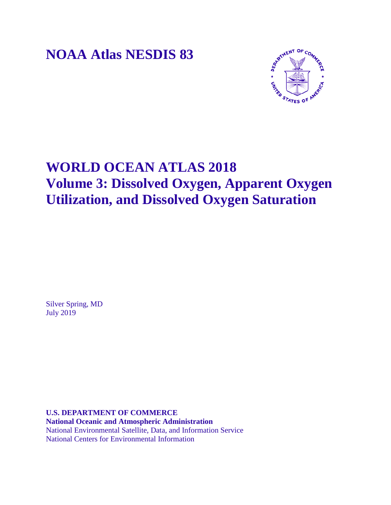**NOAA Atlas NESDIS 83**



# **WORLD OCEAN ATLAS 2018 Volume 3: Dissolved Oxygen, Apparent Oxygen Utilization, and Dissolved Oxygen Saturation**

Silver Spring, MD July 2019

**U.S. DEPARTMENT OF COMMERCE National Oceanic and Atmospheric Administration** National Environmental Satellite, Data, and Information Service National Centers for Environmental Information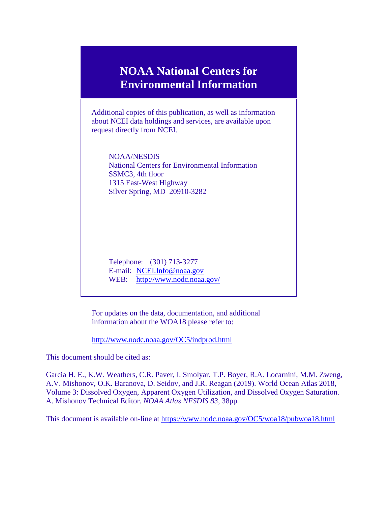# **NOAA National Centers for Environmental Information**

Additional copies of this publication, as well as information about NCEI data holdings and services, are available upon request directly from NCEI.

NOAA/NESDIS National Centers for Environmental Information SSMC3, 4th floor 1315 East-West Highway Silver Spring, MD 20910-3282

Telephone: (301) 713-3277 E-mail: [NCEI.Info@noaa.gov](mailto:NCEI.info@noaa.gov) WEB: <http://www.nodc.noaa.gov/>

For updates on the data, documentation, and additional information about the WOA18 please refer to:

<http://www.nodc.noaa.gov/OC5/indprod.html>

This document should be cited as:

Garcia H. E., K.W. Weathers, C.R. Paver, I. Smolyar, T.P. Boyer, R.A. Locarnini, M.M. Zweng, A.V. Mishonov, O.K. Baranova, D. Seidov, and J.R. Reagan (2019). World Ocean Atlas 2018, Volume 3: Dissolved Oxygen, Apparent Oxygen Utilization, and Dissolved Oxygen Saturation. A. Mishonov Technical Editor. *NOAA Atlas NESDIS 83*, 38pp.

This document is available on-line at<https://www.nodc.noaa.gov/OC5/woa18/pubwoa18.html>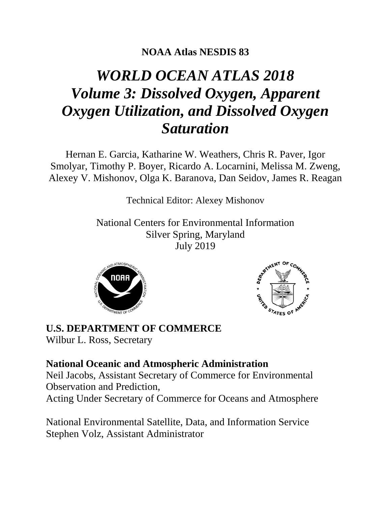## **NOAA Atlas NESDIS 83**

# *WORLD OCEAN ATLAS 2018 Volume 3: Dissolved Oxygen, Apparent Oxygen Utilization, and Dissolved Oxygen Saturation*

Hernan E. Garcia, Katharine W. Weathers, Chris R. Paver, Igor Smolyar, Timothy P. Boyer, Ricardo A. Locarnini, Melissa M. Zweng, Alexey V. Mishonov, Olga K. Baranova, Dan Seidov, James R. Reagan

Technical Editor: Alexey Mishonov

National Centers for Environmental Information Silver Spring, Maryland July 2019





**U.S. DEPARTMENT OF COMMERCE** Wilbur L. Ross, Secretary

### **National Oceanic and Atmospheric Administration**

Neil Jacobs, Assistant Secretary of Commerce for Environmental Observation and Prediction,

Acting Under Secretary of Commerce for Oceans and Atmosphere

National Environmental Satellite, Data, and Information Service Stephen Volz, Assistant Administrator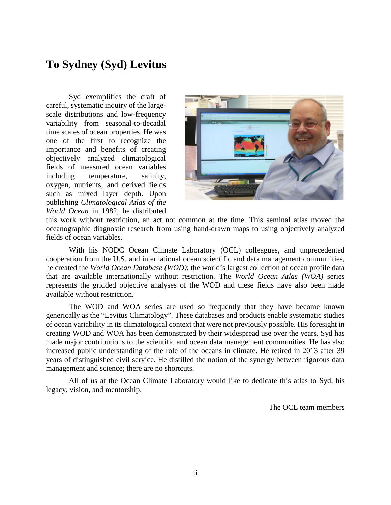# **To Sydney (Syd) Levitus**

Syd exemplifies the craft of careful, systematic inquiry of the largescale distributions and low-frequency variability from seasonal-to-decadal time scales of ocean properties. He was one of the first to recognize the importance and benefits of creating objectively analyzed climatological fields of measured ocean variables including temperature, salinity, oxygen, nutrients, and derived fields such as mixed layer depth. Upon publishing *Climatological Atlas of the World Ocean* in 1982, he distributed



this work without restriction, an act not common at the time. This seminal atlas moved the oceanographic diagnostic research from using hand-drawn maps to using objectively analyzed fields of ocean variables.

With his NODC Ocean Climate Laboratory (OCL) colleagues, and unprecedented cooperation from the U.S. and international ocean scientific and data management communities, he created the *World Ocean Database (WOD)*; the world's largest collection of ocean profile data that are available internationally without restriction. The *World Ocean Atlas (WOA)* series represents the gridded objective analyses of the WOD and these fields have also been made available without restriction.

The WOD and WOA series are used so frequently that they have become known generically as the "Levitus Climatology". These databases and products enable systematic studies of ocean variability in its climatological context that were not previously possible. His foresight in creating WOD and WOA has been demonstrated by their widespread use over the years. Syd has made major contributions to the scientific and ocean data management communities. He has also increased public understanding of the role of the oceans in climate. He retired in 2013 after 39 years of distinguished civil service. He distilled the notion of the synergy between rigorous data management and science; there are no shortcuts.

All of us at the Ocean Climate Laboratory would like to dedicate this atlas to Syd, his legacy, vision, and mentorship.

The OCL team members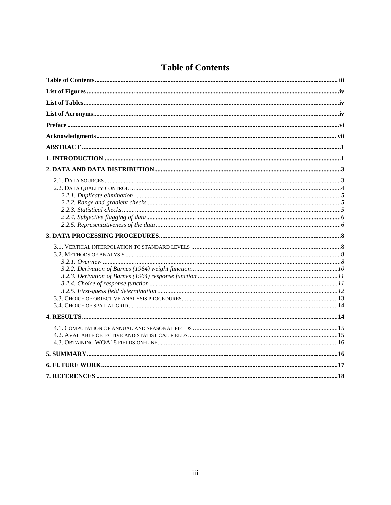### **Table of Contents**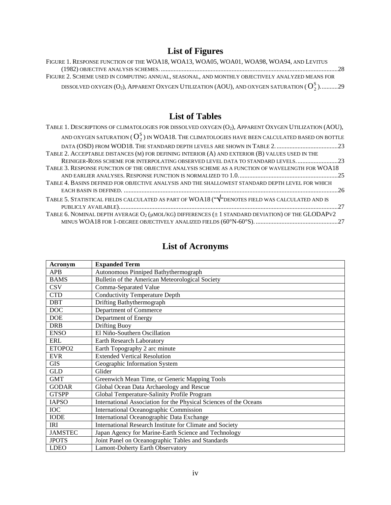# **List of Figures**

| FIGURE 1. RESPONSE FUNCTION OF THE WOA18, WOA13, WOA05, WOA01, WOA98, WOA94, AND LEVITUS                   |  |
|------------------------------------------------------------------------------------------------------------|--|
| FIGURE 2. SCHEME USED IN COMPUTING ANNUAL, SEASONAL, AND MONTHLY OBJECTIVELY ANALYZED MEANS FOR            |  |
| DISSOLVED OXYGEN (O <sub>2</sub> ), APPARENT OXYGEN UTILIZATION (AOU), AND OXYGEN SATURATION ( $O_2^S$ )29 |  |

### **List of Tables**

| TABLE 1. DESCRIPTIONS OF CLIMATOLOGIES FOR DISSOLVED OXYGEN (O2), APPARENT OXYGEN UTILIZATION (AOU), |  |
|------------------------------------------------------------------------------------------------------|--|
| AND OXYGEN SATURATION ( $O_2^S$ ) IN WOA18. THE CLIMATOLOGIES HAVE BEEN CALCULATED BASED ON BOTTLE   |  |
|                                                                                                      |  |
| TABLE 2. ACCEPTABLE DISTANCES (M) FOR DEFINING INTERIOR (A) AND EXTERIOR (B) VALUES USED IN THE      |  |
| REINIGER-ROSS SCHEME FOR INTERPOLATING OBSERVED LEVEL DATA TO STANDARD LEVELS. 23                    |  |
| TABLE 3. RESPONSE FUNCTION OF THE OBJECTIVE ANALYSIS SCHEME AS A FUNCTION OF WAVELENGTH FOR WOA18    |  |
|                                                                                                      |  |
| TABLE 4. BASINS DEFINED FOR OBJECTIVE ANALYSIS AND THE SHALLOWEST STANDARD DEPTH LEVEL FOR WHICH     |  |
|                                                                                                      |  |
| TABLE 5. STATISTICAL FIELDS CALCULATED AS PART OF WOA18 ("V"DENOTES FIELD WAS CALCULATED AND IS      |  |
|                                                                                                      |  |
| TABLE 6. NOMINAL DEPTH AVERAGE O2 (µMOL/KG) DIFFERENCES (±1 STANDARD DEVIATION) OF THE GLODAPV2      |  |
|                                                                                                      |  |

# **List of Acronyms**

| Acronym            | <b>Expanded Term</b>                                              |
|--------------------|-------------------------------------------------------------------|
| <b>APB</b>         | Autonomous Pinniped Bathythermograph                              |
| <b>BAMS</b>        | Bulletin of the American Meteorological Society                   |
| <b>CSV</b>         | Comma-Separated Value                                             |
| <b>CTD</b>         | <b>Conductivity Temperature Depth</b>                             |
| <b>DBT</b>         | Drifting Bathythermograph                                         |
| <b>DOC</b>         | Department of Commerce                                            |
| <b>DOE</b>         | Department of Energy                                              |
| <b>DRB</b>         | <b>Drifting Buoy</b>                                              |
| <b>ENSO</b>        | El Niño-Southern Oscillation                                      |
| ERL                | Earth Research Laboratory                                         |
| ETOPO <sub>2</sub> | Earth Topography 2 arc minute                                     |
| <b>EVR</b>         | <b>Extended Vertical Resolution</b>                               |
| <b>GIS</b>         | Geographic Information System                                     |
| <b>GLD</b>         | Glider                                                            |
| <b>GMT</b>         | Greenwich Mean Time, or Generic Mapping Tools                     |
| <b>GODAR</b>       | Global Ocean Data Archaeology and Rescue                          |
| <b>GTSPP</b>       | Global Temperature-Salinity Profile Program                       |
| <b>IAPSO</b>       | International Association for the Physical Sciences of the Oceans |
| <b>IOC</b>         | <b>International Oceanographic Commission</b>                     |
| <b>IODE</b>        | International Oceanographic Data Exchange                         |
| <b>IRI</b>         | International Research Institute for Climate and Society          |
| <b>JAMSTEC</b>     | Japan Agency for Marine-Earth Science and Technology              |
| <b>JPOTS</b>       | Joint Panel on Oceanographic Tables and Standards                 |
| <b>LDEO</b>        | <b>Lamont-Doherty Earth Observatory</b>                           |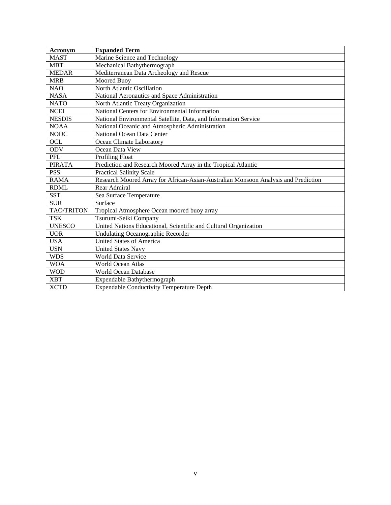| Acronym           | <b>Expanded Term</b>                                                               |
|-------------------|------------------------------------------------------------------------------------|
| <b>MAST</b>       | Marine Science and Technology                                                      |
| <b>MBT</b>        | Mechanical Bathythermograph                                                        |
| <b>MEDAR</b>      | Mediterranean Data Archeology and Rescue                                           |
| <b>MRB</b>        | Moored Buoy                                                                        |
| <b>NAO</b>        | North Atlantic Oscillation                                                         |
| <b>NASA</b>       | National Aeronautics and Space Administration                                      |
| <b>NATO</b>       | North Atlantic Treaty Organization                                                 |
| <b>NCEI</b>       | National Centers for Environmental Information                                     |
| <b>NESDIS</b>     | National Environmental Satellite, Data, and Information Service                    |
| <b>NOAA</b>       | National Oceanic and Atmospheric Administration                                    |
| <b>NODC</b>       | National Ocean Data Center                                                         |
| OCL               | Ocean Climate Laboratory                                                           |
| <b>ODV</b>        | Ocean Data View                                                                    |
| PFL               | <b>Profiling Float</b>                                                             |
| <b>PIRATA</b>     | Prediction and Research Moored Array in the Tropical Atlantic                      |
| <b>PSS</b>        | <b>Practical Salinity Scale</b>                                                    |
| <b>RAMA</b>       | Research Moored Array for African-Asian-Australian Monsoon Analysis and Prediction |
| <b>RDML</b>       | Rear Admiral                                                                       |
| <b>SST</b>        | Sea Surface Temperature                                                            |
| <b>SUR</b>        | Surface                                                                            |
| <b>TAO/TRITON</b> | Tropical Atmosphere Ocean moored buoy array                                        |
| <b>TSK</b>        | Tsurumi-Seiki Company                                                              |
| <b>UNESCO</b>     | United Nations Educational, Scientific and Cultural Organization                   |
| <b>UOR</b>        | <b>Undulating Oceanographic Recorder</b>                                           |
| <b>USA</b>        | <b>United States of America</b>                                                    |
| <b>USN</b>        | <b>United States Navy</b>                                                          |
| <b>WDS</b>        | <b>World Data Service</b>                                                          |
| <b>WOA</b>        | World Ocean Atlas                                                                  |
| <b>WOD</b>        | <b>World Ocean Database</b>                                                        |
| <b>XBT</b>        | Expendable Bathythermograph                                                        |
| <b>XCTD</b>       | <b>Expendable Conductivity Temperature Depth</b>                                   |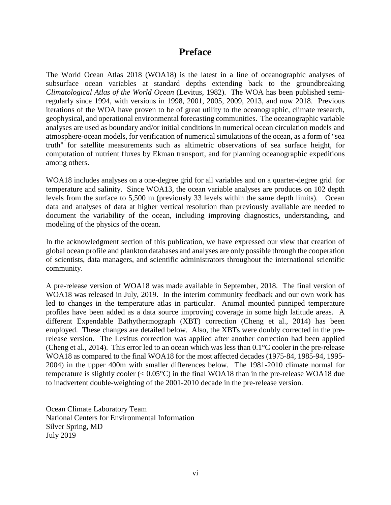### **Preface**

The World Ocean Atlas 2018 (WOA18) is the latest in a line of oceanographic analyses of subsurface ocean variables at standard depths extending back to the groundbreaking *Climatological Atlas of the World Ocean* (Levitus, 1982). The WOA has been published semiregularly since 1994, with versions in 1998, 2001, 2005, 2009, 2013, and now 2018. Previous iterations of the WOA have proven to be of great utility to the oceanographic, climate research, geophysical, and operational environmental forecasting communities. The oceanographic variable analyses are used as boundary and/or initial conditions in numerical ocean circulation models and atmosphere-ocean models, for verification of numerical simulations of the ocean, as a form of "sea truth" for satellite measurements such as altimetric observations of sea surface height, for computation of nutrient fluxes by Ekman transport, and for planning oceanographic expeditions among others.

WOA18 includes analyses on a one-degree grid for all variables and on a quarter-degree grid for temperature and salinity. Since WOA13, the ocean variable analyses are produces on 102 depth levels from the surface to 5,500 m (previously 33 levels within the same depth limits). Ocean data and analyses of data at higher vertical resolution than previously available are needed to document the variability of the ocean, including improving diagnostics, understanding, and modeling of the physics of the ocean.

In the acknowledgment section of this publication, we have expressed our view that creation of global ocean profile and plankton databases and analyses are only possible through the cooperation of scientists, data managers, and scientific administrators throughout the international scientific community.

A pre-release version of WOA18 was made available in September, 2018. The final version of WOA18 was released in July, 2019. In the interim community feedback and our own work has led to changes in the temperature atlas in particular. Animal mounted pinniped temperature profiles have been added as a data source improving coverage in some high latitude areas. A different Expendable Bathythermograph (XBT) correction (Cheng et al., 2014) has been employed. These changes are detailed below. Also, the XBTs were doubly corrected in the prerelease version. The Levitus correction was applied after another correction had been applied (Cheng et al., 2014). This error led to an ocean which was less than 0.1°C cooler in the pre-release WOA18 as compared to the final WOA18 for the most affected decades (1975-84, 1985-94, 1995- 2004) in the upper 400m with smaller differences below. The 1981-2010 climate normal for temperature is slightly cooler (< 0.05°C) in the final WOA18 than in the pre-release WOA18 due to inadvertent double-weighting of the 2001-2010 decade in the pre-release version.

Ocean Climate Laboratory Team National Centers for Environmental Information Silver Spring, MD July 2019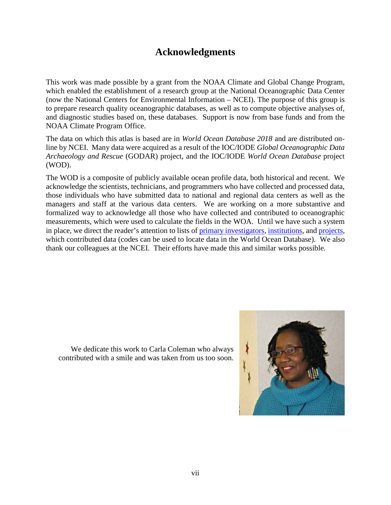## **Acknowledgments**

This work was made possible by a grant from the NOAA Climate and Global Change Program, which enabled the establishment of a research group at the National Oceanographic Data Center (now the National Centers for Environmental Information – NCEI). The purpose of this group is to prepare research quality oceanographic databases, as well as to compute objective analyses of, and diagnostic studies based on, these databases. Support is now from base funds and from the NOAA Climate Program Office.

The data on which this atlas is based are in *World Ocean Database 2018* and are distributed online by NCEI. Many data were acquired as a result of the IOC/IODE *Global Oceanographic Data Archaeology and Rescue* (GODAR) project, and the IOC/IODE *World Ocean Database* project (WOD).

The WOD is a composite of publicly available ocean profile data, both historical and recent. We acknowledge the scientists, technicians, and programmers who have collected and processed data, those individuals who have submitted data to national and regional data centers as well as the managers and staff at the various data centers. We are working on a more substantive and formalized way to acknowledge all those who have collected and contributed to oceanographic measurements, which were used to calculate the fields in the WOA. Until we have such a system in place, we direct the reader's attention to lists of [primary investigators,](http://data.nodc.noaa.gov/woa/WOD/CODES/PDF/primary_investigator_list.pdf) [institutions,](https://data.nodc.noaa.gov/woa/WOD/CODES/PDF/s_4_institute.pdf) and [projects,](https://data.nodc.noaa.gov/woa/WOD/CODES/PDF/s_2_project.pdf) which contributed data (codes can be used to locate data in the World Ocean Database). We also thank our colleagues at the NCEI. Their efforts have made this and similar works possible.

We dedicate this work to Carla Coleman who always contributed with a smile and was taken from us too soon.

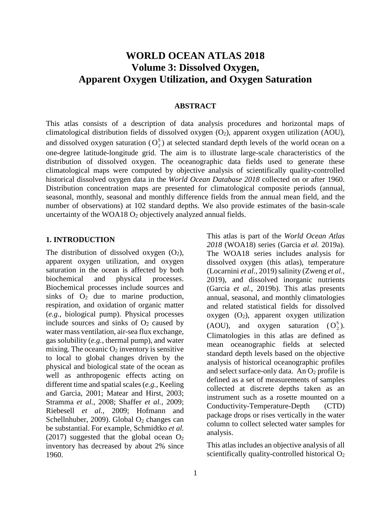### **WORLD OCEAN ATLAS 2018 Volume 3: Dissolved Oxygen, Apparent Oxygen Utilization, and Oxygen Saturation**

#### **ABSTRACT**

This atlas consists of a description of data analysis procedures and horizontal maps of climatological distribution fields of dissolved oxygen (O2), apparent oxygen utilization (AOU), and dissolved oxygen saturation  $(O_2^S)$  at selected standard depth levels of the world ocean on a one-degree latitude-longitude grid. The aim is to illustrate large-scale characteristics of the distribution of dissolved oxygen. The oceanographic data fields used to generate these climatological maps were computed by objective analysis of scientifically quality-controlled historical dissolved oxygen data in the *World Ocean Database 2018* collected on or after 1960. Distribution concentration maps are presented for climatological composite periods (annual, seasonal, monthly, seasonal and monthly difference fields from the annual mean field, and the number of observations) at 102 standard depths. We also provide estimates of the basin-scale uncertainty of the WOA18 O<sub>2</sub> objectively analyzed annual fields.

#### **1. INTRODUCTION**

The distribution of dissolved oxygen  $(O_2)$ , apparent oxygen utilization, and oxygen saturation in the ocean is affected by both biochemical and physical processes. Biochemical processes include sources and sinks of  $O_2$  due to marine production, respiration, and oxidation of organic matter (*e.g.*, biological pump). Physical processes include sources and sinks of  $O<sub>2</sub>$  caused by water mass ventilation, air-sea flux exchange, gas solubility (*e.g.*, thermal pump), and water mixing. The oceanic  $O_2$  inventory is sensitive to local to global changes driven by the physical and biological state of the ocean as well as anthropogenic effects acting on different time and spatial scales (*e.g.*, Keeling and Garcia, 2001; Matear and Hirst, 2003; Stramma *et al.,* 2008; Shaffer *et al.,* 2009; Riebesell *et al.,* 2009; Hofmann and Schellnhuber, 2009). Global  $O_2$  changes can be substantial. For example, Schmidtko *et al.* (2017) suggested that the global ocean  $O_2$ inventory has decreased by about 2% since 1960.

This atlas is part of the *World Ocean Atlas 2018* (WOA18) series (Garcia *et al.* 2019a). The WOA18 series includes analysis for dissolved oxygen (this atlas), temperature (Locarnini *et al.*, 2019) salinity (Zweng *et al.*, 2019), and dissolved inorganic nutrients (Garcia *et al.*, 2019b). This atlas presents annual, seasonal, and monthly climatologies and related statistical fields for dissolved oxygen  $(O_2)$ , apparent oxygen utilization (AOU), and oxygen saturation  $(O_2^S)$ . Climatologies in this atlas are defined as mean oceanographic fields at selected standard depth levels based on the objective analysis of historical oceanographic profiles and select surface-only data. An  $O<sub>2</sub>$  profile is defined as a set of measurements of samples collected at discrete depths taken as an instrument such as a rosette mounted on a Conductivity-Temperature-Depth (CTD) package drops or rises vertically in the water column to collect selected water samples for analysis.

This atlas includes an objective analysis of all scientifically quality-controlled historical  $O_2$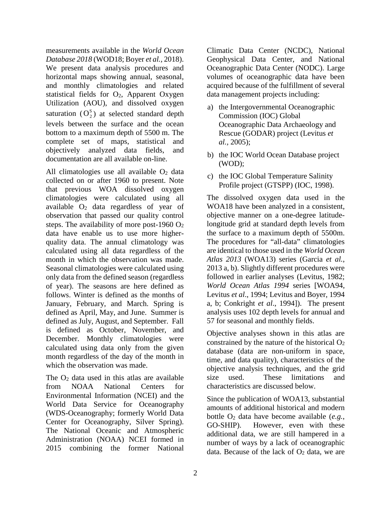measurements available in the *World Ocean Database 2018* (WOD18; Boyer *et al.,* 2018). We present data analysis procedures and horizontal maps showing annual, seasonal, and monthly climatologies and related statistical fields for  $O_2$ , Apparent Oxygen Utilization (AOU), and dissolved oxygen saturation  $(O_2^S)$  at selected standard depth levels between the surface and the ocean bottom to a maximum depth of 5500 m. The complete set of maps, statistical and objectively analyzed data fields, and documentation are all available on-line.

All climatologies use all available  $O<sub>2</sub>$  data collected on or after 1960 to present. Note that previous WOA dissolved oxygen climatologies were calculated using all available O2 data regardless of year of observation that passed our quality control steps. The availability of more post-1960  $O_2$ data have enable us to use more higherquality data. The annual climatology was calculated using all data regardless of the month in which the observation was made. Seasonal climatologies were calculated using only data from the defined season (regardless of year). The seasons are here defined as follows. Winter is defined as the months of January, February, and March. Spring is defined as April, May, and June. Summer is defined as July, August, and September. Fall is defined as October, November, and December. Monthly climatologies were calculated using data only from the given month regardless of the day of the month in which the observation was made.

The O<sub>2</sub> data used in this atlas are available from NOAA National Centers for Environmental Information (NCEI) and the World Data Service for Oceanography (WDS-Oceanography; formerly World Data Center for Oceanography, Silver Spring). The National Oceanic and Atmospheric Administration (NOAA) NCEI formed in 2015 combining the former National

Climatic Data Center (NCDC), National Geophysical Data Center, and National Oceanographic Data Center (NODC). Large volumes of oceanographic data have been acquired because of the fulfillment of several data management projects including:

- a) the Intergovernmental Oceanographic Commission (IOC) Global Oceanographic Data Archaeology and Rescue (GODAR) project (Levitus *et al.,* 2005);
- b) the IOC World Ocean Database project (WOD);
- c) the IOC Global Temperature Salinity Profile project (GTSPP) (IOC, 1998).

The dissolved oxygen data used in the WOA18 have been analyzed in a consistent, objective manner on a one-degree latitudelongitude grid at standard depth levels from the surface to a maximum depth of 5500m. The procedures for "all-data" climatologies are identical to those used in the *World Ocean Atlas 2013* (WOA13) series (Garcia *et al.*, 2013 a, b). Slightly different procedures were followed in earlier analyses (Levitus, 1982; *World Ocean Atlas 1994* series [WOA94, Levitus *et al*., 1994; Levitus and Boyer, 1994 a, b; Conkright *et al*., 1994]). The present analysis uses 102 depth levels for annual and 57 for seasonal and monthly fields.

Objective analyses shown in this atlas are constrained by the nature of the historical  $O<sub>2</sub>$ database (data are non-uniform in space, time, and data quality), characteristics of the objective analysis techniques, and the grid size used. These limitations and characteristics are discussed below.

Since the publication of WOA13, substantial amounts of additional historical and modern bottle O2 data have become available (*e.g.*, GO-SHIP). However, even with these additional data, we are still hampered in a number of ways by a lack of oceanographic data. Because of the lack of  $O<sub>2</sub>$  data, we are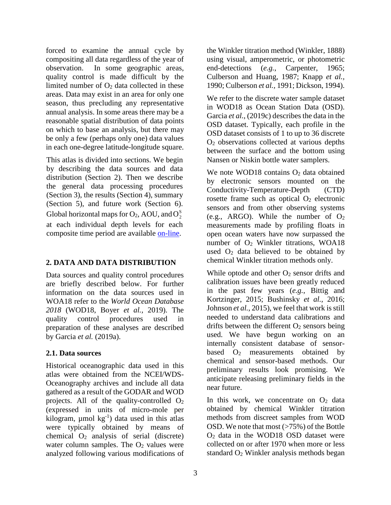forced to examine the annual cycle by compositing all data regardless of the year of observation. In some geographic areas, quality control is made difficult by the limited number of  $O_2$  data collected in these areas. Data may exist in an area for only one season, thus precluding any representative annual analysis. In some areas there may be a reasonable spatial distribution of data points on which to base an analysis, but there may be only a few (perhaps only one) data values in each one-degree latitude-longitude square.

This atlas is divided into sections. We begin by describing the data sources and data distribution (Section 2). Then we describe the general data processing procedures (Section 3), the results (Section 4), summary (Section 5), and future work (Section 6). Global horizontal maps for  $O_2$ , AOU, and  $O_2^s$ at each individual depth levels for each composite time period are available [on-line.](http://www.nodc.noaa.gov/OC5/woa13/woa13data.html)

#### **2. DATA AND DATA DISTRIBUTION**

Data sources and quality control procedures are briefly described below. For further information on the data sources used in WOA18 refer to the *World Ocean Database 2018* (WOD18, Boyer *et al.,* 2019). The quality control procedures used in preparation of these analyses are described by Garcia *et al.* (2019a).

### **2.1. Data sources**

Historical oceanographic data used in this atlas were obtained from the NCEI/WDS-Oceanography archives and include all data gathered as a result of the GODAR and WOD projects. All of the quality-controlled  $O_2$ (expressed in units of micro-mole per kilogram,  $\mu$ mol kg<sup>-1</sup>) data used in this atlas were typically obtained by means of chemical  $O_2$  analysis of serial (discrete) water column samples. The  $O<sub>2</sub>$  values were analyzed following various modifications of

the Winkler titration method (Winkler, 1888) using visual, amperometric, or photometric end-detections (*e.g.*, Carpenter, 1965; Culberson and Huang, 1987; Knapp *et al.,* 1990; Culberson *et al.,* 1991; Dickson, 1994).

We refer to the discrete water sample dataset in WOD18 as Ocean Station Data (OSD). Garcia *et al.*, (2019c) describes the data in the OSD dataset. Typically, each profile in the OSD dataset consists of 1 to up to 36 discrete O2 observations collected at various depths between the surface and the bottom using Nansen or Niskin bottle water samplers.

We note WOD18 contains O<sub>2</sub> data obtained by electronic sensors mounted on the Conductivity-Temperature-Depth (CTD) rosette frame such as optical  $O<sub>2</sub>$  electronic sensors and from other observing systems (e.g., ARGO). While the number of  $O<sub>2</sub>$ measurements made by profiling floats in open ocean waters have now surpassed the number of O2 Winkler titrations, WOA18 used  $O<sub>2</sub>$  data believed to be obtained by chemical Winkler titration methods only.

While optode and other  $O_2$  sensor drifts and calibration issues have been greatly reduced in the past few years (*e.g.*, Bittig and Kortzinger, 2015; Bushinsky *et al.,* 2016; Johnson *et al.*, 2015), we feel that work is still needed to understand data calibrations and drifts between the different  $O<sub>2</sub>$  sensors being used. We have begun working on an internally consistent database of sensorbased  $O_2$  measurements obtained by chemical and sensor-based methods. Our preliminary results look promising. We anticipate releasing preliminary fields in the near future.

In this work, we concentrate on  $O<sub>2</sub>$  data obtained by chemical Winkler titration methods from discreet samples from WOD OSD. We note that most (>75%) of the Bottle O2 data in the WOD18 OSD dataset were collected on or after 1970 when more or less standard  $O<sub>2</sub>$  Winkler analysis methods began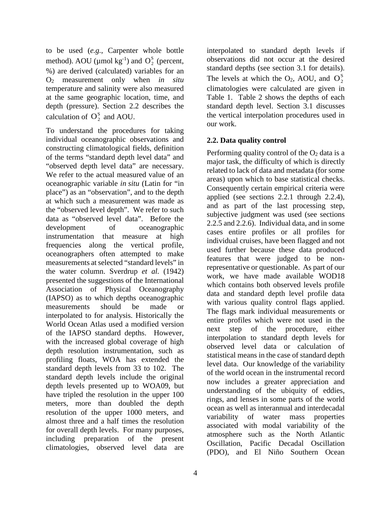to be used (*e.g.*, Carpenter whole bottle method). AOU ( $\mu$ mol kg<sup>-1</sup>) and  $O_2^S$  (percent, %) are derived (calculated) variables for an O2 measurement only when *in situ* temperature and salinity were also measured at the same geographic location, time, and depth (pressure). Section 2.2 describes the calculation of  $O_2^s$  and AOU.

To understand the procedures for taking individual oceanographic observations and constructing climatological fields, definition of the terms "standard depth level data" and "observed depth level data" are necessary. We refer to the actual measured value of an oceanographic variable *in situ* (Latin for "in place") as an "observation", and to the depth at which such a measurement was made as the "observed level depth". We refer to such data as "observed level data". Before the development of oceanographic instrumentation that measure at high frequencies along the vertical profile, oceanographers often attempted to make measurements at selected "standard levels" in the water column. Sverdrup *et al.* (1942) presented the suggestions of the International Association of Physical Oceanography (IAPSO) as to which depths oceanographic measurements should be made or interpolated to for analysis. Historically the World Ocean Atlas used a modified version of the IAPSO standard depths. However, with the increased global coverage of high depth resolution instrumentation, such as profiling floats, WOA has extended the standard depth levels from 33 to 102. The standard depth levels include the original depth levels presented up to WOA09, but have tripled the resolution in the upper 100 meters, more than doubled the depth resolution of the upper 1000 meters, and almost three and a half times the resolution for overall depth levels. For many purposes, including preparation of the present climatologies, observed level data are

4

interpolated to standard depth levels if observations did not occur at the desired standard depths (see section 3.1 for details). The levels at which the  $O_2$ , AOU, and  $O_2^S$ climatologies were calculated are given in Table 1. Table 2 shows the depths of each standard depth level. Section 3.1 discusses the vertical interpolation procedures used in our work.

#### **2.2. Data quality control**

Performing quality control of the  $O<sub>2</sub>$  data is a major task, the difficulty of which is directly related to lack of data and metadata (for some areas) upon which to base statistical checks. Consequently certain empirical criteria were applied (see sections 2.2.1 through 2.2.4), and as part of the last processing step, subjective judgment was used (see sections 2.2.5 and 2.2.6). Individual data, and in some cases entire profiles or all profiles for individual cruises, have been flagged and not used further because these data produced features that were judged to be nonrepresentative or questionable. As part of our work, we have made available WOD18 which contains both observed levels profile data and standard depth level profile data with various quality control flags applied. The flags mark individual measurements or entire profiles which were not used in the next step of the procedure, either interpolation to standard depth levels for observed level data or calculation of statistical means in the case of standard depth level data. Our knowledge of the variability of the world ocean in the instrumental record now includes a greater appreciation and understanding of the ubiquity of eddies, rings, and lenses in some parts of the world ocean as well as interannual and interdecadal variability of water mass properties associated with modal variability of the atmosphere such as the North Atlantic Oscillation, Pacific Decadal Oscillation (PDO), and El Niño Southern Ocean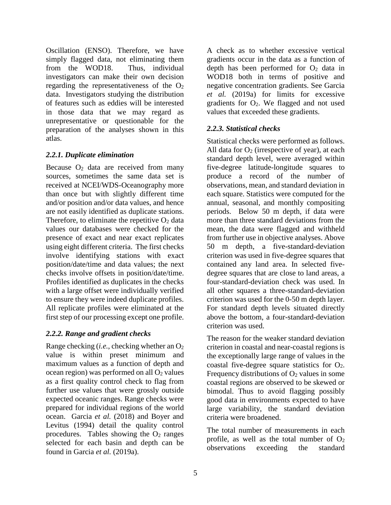Oscillation (ENSO). Therefore, we have simply flagged data, not eliminating them from the WOD18. Thus, individual investigators can make their own decision regarding the representativeness of the  $O<sub>2</sub>$ data. Investigators studying the distribution of features such as eddies will be interested in those data that we may regard as unrepresentative or questionable for the preparation of the analyses shown in this atlas.

#### *2.2.1. Duplicate elimination*

Because  $O_2$  data are received from many sources, sometimes the same data set is received at NCEI/WDS-Oceanography more than once but with slightly different time and/or position and/or data values, and hence are not easily identified as duplicate stations. Therefore, to eliminate the repetitive  $O<sub>2</sub>$  data values our databases were checked for the presence of exact and near exact replicates using eight different criteria. The first checks involve identifying stations with exact position/date/time and data values; the next checks involve offsets in position/date/time. Profiles identified as duplicates in the checks with a large offset were individually verified to ensure they were indeed duplicate profiles. All replicate profiles were eliminated at the first step of our processing except one profile.

### *2.2.2. Range and gradient checks*

Range checking (*i.e.*, checking whether an O2 value is within preset minimum and maximum values as a function of depth and ocean region) was performed on all  $O<sub>2</sub>$  values as a first quality control check to flag from further use values that were grossly outside expected oceanic ranges. Range checks were prepared for individual regions of the world ocean. Garcia *et al.* (2018) and Boyer and Levitus (1994) detail the quality control procedures. Tables showing the  $O<sub>2</sub>$  ranges selected for each basin and depth can be found in Garcia *et al.* (2019a).

A check as to whether excessive vertical gradients occur in the data as a function of depth has been performed for  $O<sub>2</sub>$  data in WOD18 both in terms of positive and negative concentration gradients. See Garcia *et al.* (2019a) for limits for excessive gradients for  $O_2$ . We flagged and not used values that exceeded these gradients.

#### *2.2.3. Statistical checks*

Statistical checks were performed as follows. All data for  $O_2$  (irrespective of year), at each standard depth level, were averaged within five-degree latitude-longitude squares to produce a record of the number of observations, mean, and standard deviation in each square. Statistics were computed for the annual, seasonal, and monthly compositing periods. Below 50 m depth, if data were more than three standard deviations from the mean, the data were flagged and withheld from further use in objective analyses. Above 50 m depth, a five-standard-deviation criterion was used in five-degree squares that contained any land area. In selected fivedegree squares that are close to land areas, a four-standard-deviation check was used. In all other squares a three-standard-deviation criterion was used for the 0-50 m depth layer. For standard depth levels situated directly above the bottom, a four-standard-deviation criterion was used.

The reason for the weaker standard deviation criterion in coastal and near-coastal regions is the exceptionally large range of values in the coastal five-degree square statistics for  $O<sub>2</sub>$ . Frequency distributions of  $O<sub>2</sub>$  values in some coastal regions are observed to be skewed or bimodal. Thus to avoid flagging possibly good data in environments expected to have large variability, the standard deviation criteria were broadened.

The total number of measurements in each profile, as well as the total number of  $O<sub>2</sub>$ observations exceeding the standard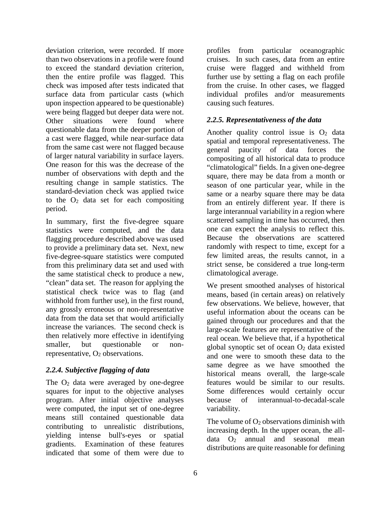deviation criterion, were recorded. If more than two observations in a profile were found to exceed the standard deviation criterion, then the entire profile was flagged. This check was imposed after tests indicated that surface data from particular casts (which upon inspection appeared to be questionable) were being flagged but deeper data were not. Other situations were found where questionable data from the deeper portion of a cast were flagged, while near-surface data from the same cast were not flagged because of larger natural variability in surface layers. One reason for this was the decrease of the number of observations with depth and the resulting change in sample statistics. The standard-deviation check was applied twice to the  $O<sub>2</sub>$  data set for each compositing period.

In summary, first the five-degree square statistics were computed, and the data flagging procedure described above was used to provide a preliminary data set. Next, new five-degree-square statistics were computed from this preliminary data set and used with the same statistical check to produce a new, "clean" data set. The reason for applying the statistical check twice was to flag (and withhold from further use), in the first round, any grossly erroneous or non-representative data from the data set that would artificially increase the variances. The second check is then relatively more effective in identifying smaller, but questionable or nonrepresentative,  $O_2$  observations.

#### *2.2.4. Subjective flagging of data*

The  $O<sub>2</sub>$  data were averaged by one-degree squares for input to the objective analyses program. After initial objective analyses were computed, the input set of one-degree means still contained questionable data contributing to unrealistic distributions, yielding intense bull's-eyes or spatial gradients. Examination of these features indicated that some of them were due to

profiles from particular oceanographic cruises. In such cases, data from an entire cruise were flagged and withheld from further use by setting a flag on each profile from the cruise. In other cases, we flagged individual profiles and/or measurements causing such features.

#### *2.2.5. Representativeness of the data*

Another quality control issue is  $O_2$  data spatial and temporal representativeness. The general paucity of data forces the compositing of all historical data to produce "climatological" fields. In a given one-degree square, there may be data from a month or season of one particular year, while in the same or a nearby square there may be data from an entirely different year. If there is large interannual variability in a region where scattered sampling in time has occurred, then one can expect the analysis to reflect this. Because the observations are scattered randomly with respect to time, except for a few limited areas, the results cannot, in a strict sense, be considered a true long-term climatological average.

We present smoothed analyses of historical means, based (in certain areas) on relatively few observations. We believe, however, that useful information about the oceans can be gained through our procedures and that the large-scale features are representative of the real ocean. We believe that, if a hypothetical global synoptic set of ocean  $O<sub>2</sub>$  data existed and one were to smooth these data to the same degree as we have smoothed the historical means overall, the large-scale features would be similar to our results. Some differences would certainly occur because of interannual-to-decadal-scale variability.

The volume of  $O_2$  observations diminish with increasing depth. In the upper ocean, the alldata  $O_2$  annual and seasonal mean distributions are quite reasonable for defining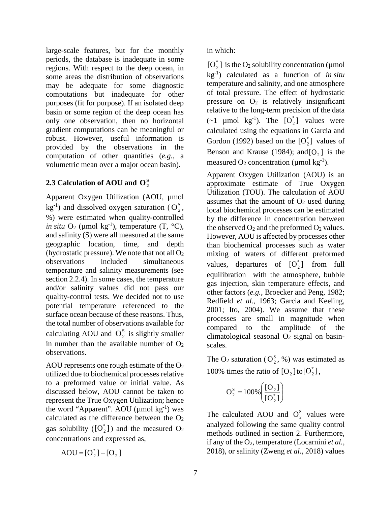large-scale features, but for the monthly periods, the database is inadequate in some regions. With respect to the deep ocean, in some areas the distribution of observations may be adequate for some diagnostic computations but inadequate for other purposes (fit for purpose). If an isolated deep basin or some region of the deep ocean has only one observation, then no horizontal gradient computations can be meaningful or robust. However, useful information is provided by the observations in the computation of other quantities (*e.g.*, a volumetric mean over a major ocean basin).

## 2.3 Calculation of AOU and  $O_2^s$

Apparent Oxygen Utilization (AOU, µmol  $kg^{-1}$ ) and dissolved oxygen saturation ( $O_2^s$ , %) were estimated when quality-controlled *in situ*  $O_2$  (µmol  $kg^{-1}$ ), temperature (T,  $^{\circ}C$ ), and salinity (S) were all measured at the same geographic location, time, and depth (hydrostatic pressure). We note that not all  $O_2$ observations included simultaneous temperature and salinity measurements (see section 2.2.4). In some cases, the temperature and/or salinity values did not pass our quality-control tests. We decided not to use potential temperature referenced to the surface ocean because of these reasons. Thus, the total number of observations available for calculating AOU and  $O_2^S$  is slightly smaller in number than the available number of  $O<sub>2</sub>$ observations.

AOU represents one rough estimate of the O2 utilized due to biochemical processes relative to a preformed value or initial value. As discussed below, AOU cannot be taken to represent the True Oxygen Utilization; hence the word "Apparent". AOU ( $\mu$ mol kg<sup>-1</sup>) was calculated as the difference between the  $O<sub>2</sub>$ gas solubility ( $[O_2^*]$ ) and the measured  $O_2$ concentrations and expressed as,

$$
AOU = [O_2^*] - [O_2]
$$

in which:

 $[O_2^*]$  is the  $O_2$  solubility concentration (µmol kg-1 ) calculated as a function of *in situ* temperature and salinity, and one atmosphere of total pressure. The effect of hydrostatic pressure on  $O_2$  is relatively insignificant relative to the long-term precision of the data (~1  $\mu$ mol kg<sup>-1</sup>). The [O<sub>2</sub>] values were calculated using the equations in Garcia and Gordon (1992) based on the  $[O_2^*]$  values of Benson and Krause (1984); and  $[O_2]$  is the measured  $O_2$  concentration (µmol kg<sup>-1</sup>).

Apparent Oxygen Utilization (AOU) is an approximate estimate of True Oxygen Utilization (TOU). The calculation of AOU assumes that the amount of  $O<sub>2</sub>$  used during local biochemical processes can be estimated by the difference in concentration between the observed  $O_2$  and the preformed  $O_2$  values. However, AOU is affected by processes other than biochemical processes such as water mixing of waters of different preformed values, departures of  $[O_2^*]$  from full equilibration with the atmosphere, bubble gas injection, skin temperature effects, and other factors (*e.g.*, Broecker and Peng, 1982; Redfield *et al.,* 1963; Garcia and Keeling, 2001; Ito, 2004). We assume that these processes are small in magnitude when compared to the amplitude of the climatological seasonal  $O<sub>2</sub>$  signal on basinscales.

The  $O_2$  saturation  $(O_2^S, %)$  was estimated as 100% times the ratio of  $[O_2]$  to  $[O_2^*]$ ,

$$
O_2^S = 100\% \left( \frac{[O_2]}{[O_2^*]} \right)
$$

The calculated AOU and  $O_2^s$  values were analyzed following the same quality control methods outlined in section 2. Furthermore, if any of the O2, temperature (Locarnini *et al.,* 2018), or salinity (Zweng *et al.,* 2018) values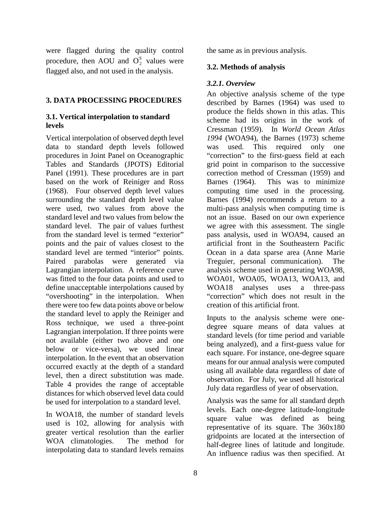were flagged during the quality control procedure, then AOU and  $O_2^s$  values were flagged also, and not used in the analysis.

#### **3. DATA PROCESSING PROCEDURES**

#### **3.1. Vertical interpolation to standard levels**

Vertical interpolation of observed depth level data to standard depth levels followed procedures in Joint Panel on Oceanographic Tables and Standards (JPOTS) Editorial Panel (1991). These procedures are in part based on the work of Reiniger and Ross (1968). Four observed depth level values surrounding the standard depth level value were used, two values from above the standard level and two values from below the standard level. The pair of values furthest from the standard level is termed "exterior" points and the pair of values closest to the standard level are termed "interior" points. Paired parabolas were generated via Lagrangian interpolation. A reference curve was fitted to the four data points and used to define unacceptable interpolations caused by "overshooting" in the interpolation. When there were too few data points above or below the standard level to apply the Reiniger and Ross technique, we used a three-point Lagrangian interpolation. If three points were not available (either two above and one below or vice-versa), we used linear interpolation. In the event that an observation occurred exactly at the depth of a standard level, then a direct substitution was made. Table 4 provides the range of acceptable distances for which observed level data could be used for interpolation to a standard level.

In WOA18, the number of standard levels used is 102, allowing for analysis with greater vertical resolution than the earlier WOA climatologies. The method for interpolating data to standard levels remains

the same as in previous analysis.

#### **3.2. Methods of analysis**

#### *3.2.1. Overview*

An objective analysis scheme of the type described by Barnes (1964) was used to produce the fields shown in this atlas. This scheme had its origins in the work of Cressman (1959). In *World Ocean Atlas 1994* (WOA94), the Barnes (1973) scheme was used. This required only one "correction" to the first-guess field at each grid point in comparison to the successive correction method of Cressman (1959) and Barnes (1964). This was to minimize computing time used in the processing. Barnes (1994) recommends a return to a multi-pass analysis when computing time is not an issue. Based on our own experience we agree with this assessment. The single pass analysis, used in WOA94, caused an artificial front in the Southeastern Pacific Ocean in a data sparse area (Anne Marie Treguier, personal communication). The analysis scheme used in generating WOA98, WOA01, WOA05, WOA13, WOA13, and WOA18 analyses uses a three-pass "correction" which does not result in the creation of this artificial front.

Inputs to the analysis scheme were onedegree square means of data values at standard levels (for time period and variable being analyzed), and a first-guess value for each square. For instance, one-degree square means for our annual analysis were computed using all available data regardless of date of observation. For July, we used all historical July data regardless of year of observation.

Analysis was the same for all standard depth levels. Each one-degree latitude-longitude square value was defined as being representative of its square. The 360x180 gridpoints are located at the intersection of half-degree lines of latitude and longitude. An influence radius was then specified. At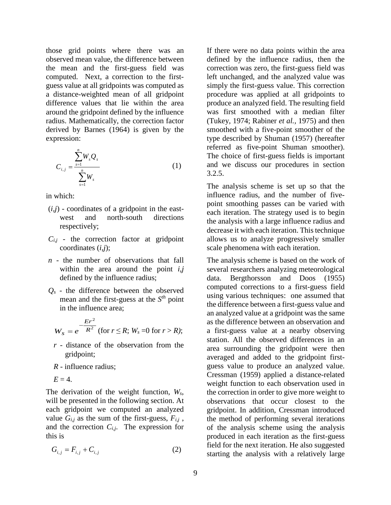those grid points where there was an observed mean value, the difference between the mean and the first-guess field was computed. Next, a correction to the firstguess value at all gridpoints was computed as a distance-weighted mean of all gridpoint difference values that lie within the area around the gridpoint defined by the influence radius. Mathematically, the correction factor derived by Barnes (1964) is given by the expression:

$$
C_{i,j} = \frac{\sum_{s=1}^{n} W_s Q_s}{\sum_{s=1}^{n} W_s}
$$
 (1)

in which:

- $(i,j)$  coordinates of a gridpoint in the eastwest and north-south directions respectively;
- $C_{i,j}$  the correction factor at gridpoint coordinates (*i,j*);
- *n* the number of observations that fall within the area around the point *i,j* defined by the influence radius;
- *Qs* the difference between the observed mean and the first-guess at the *Sth* point in the influence area;

$$
W_s = e^{-\frac{Er^2}{R^2}}
$$
 (for  $r \le R$ ;  $W_s = 0$  for  $r > R$ );

- *r* distance of the observation from the gridpoint;
- *R* influence radius;

 $E = 4$ .

The derivation of the weight function, *Ws*, will be presented in the following section. At each gridpoint we computed an analyzed value  $G_{i,j}$  as the sum of the first-guess,  $F_{i,j}$ , and the correction  $C_{i,j}$ . The expression for this is

$$
G_{i,j} = F_{i,j} + C_{i,j}
$$
 (2)

If there were no data points within the area defined by the influence radius, then the correction was zero, the first-guess field was left unchanged, and the analyzed value was simply the first-guess value. This correction procedure was applied at all gridpoints to produce an analyzed field. The resulting field was first smoothed with a median filter (Tukey, 1974; Rabiner *et al.,* 1975) and then smoothed with a five-point smoother of the type described by Shuman (1957) (hereafter referred as five-point Shuman smoother). The choice of first-guess fields is important and we discuss our procedures in section 3.2.5.

The analysis scheme is set up so that the influence radius, and the number of fivepoint smoothing passes can be varied with each iteration. The strategy used is to begin the analysis with a large influence radius and decrease it with each iteration. This technique allows us to analyze progressively smaller scale phenomena with each iteration.

The analysis scheme is based on the work of several researchers analyzing meteorological data. Bergthorsson and Doos (1955) computed corrections to a first-guess field using various techniques: one assumed that the difference between a first-guess value and an analyzed value at a gridpoint was the same as the difference between an observation and a first-guess value at a nearby observing station. All the observed differences in an area surrounding the gridpoint were then averaged and added to the gridpoint firstguess value to produce an analyzed value. Cressman (1959) applied a distance-related weight function to each observation used in the correction in order to give more weight to observations that occur closest to the gridpoint. In addition, Cressman introduced the method of performing several iterations of the analysis scheme using the analysis produced in each iteration as the first-guess field for the next iteration. He also suggested starting the analysis with a relatively large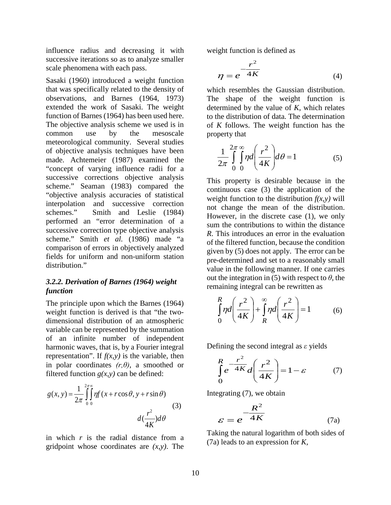influence radius and decreasing it with successive iterations so as to analyze smaller scale phenomena with each pass.

Sasaki (1960) introduced a weight function that was specifically related to the density of observations, and Barnes (1964, 1973) extended the work of Sasaki. The weight function of Barnes (1964) has been used here. The objective analysis scheme we used is in common use by the mesoscale meteorological community. Several studies of objective analysis techniques have been made. Achtemeier (1987) examined the "concept of varying influence radii for a successive corrections objective analysis scheme." Seaman (1983) compared the "objective analysis accuracies of statistical interpolation and successive correction schemes." Smith and Leslie (1984) performed an "error determination of a successive correction type objective analysis scheme." Smith *et al.* (1986) made "a comparison of errors in objectively analyzed fields for uniform and non-uniform station distribution."

#### *3.2.2. Derivation of Barnes (1964) weight function*

The principle upon which the Barnes (1964) weight function is derived is that "the twodimensional distribution of an atmospheric variable can be represented by the summation of an infinite number of independent harmonic waves, that is, by a Fourier integral representation". If  $f(x, y)$  is the variable, then in polar coordinates *(r,θ)*, a smoothed or filtered function  $g(x, y)$  can be defined:

$$
g(x, y) = \frac{1}{2\pi} \int_{0}^{2\pi} \int_{0}^{\infty} \eta f(x + r\cos\theta, y + r\sin\theta)
$$
\n
$$
d\left(\frac{r^2}{4K}\right) d\theta
$$
\n(3)

in which *r* is the radial distance from a gridpoint whose coordinates are *(x,y)*. The

weight function is defined as

$$
\eta = e^{-\frac{r^2}{4K}} \tag{4}
$$

which resembles the Gaussian distribution. The shape of the weight function is determined by the value of *K*, which relates to the distribution of data. The determination of *K* follows. The weight function has the property that

$$
\frac{1}{2\pi} \int_{0}^{2\pi} \int_{0}^{\infty} \eta d\left(\frac{r^2}{4K}\right) d\theta = 1
$$
 (5)

This property is desirable because in the continuous case (3) the application of the weight function to the distribution  $f(x, y)$  will not change the mean of the distribution. However, in the discrete case (1), we only sum the contributions to within the distance *R*. This introduces an error in the evaluation of the filtered function, because the condition given by (5) does not apply. The error can be pre-determined and set to a reasonably small value in the following manner. If one carries out the integration in (5) with respect to  $\theta$ , the remaining integral can be rewritten as

$$
\int_{0}^{R} \eta d\left(\frac{r^2}{4K}\right) + \int_{R}^{\infty} \eta d\left(\frac{r^2}{4K}\right) = 1
$$
 (6)

Defining the second integral as *ε* yields

$$
\int_{0}^{R} e^{-\frac{r^2}{4K}} d\left(\frac{r^2}{4K}\right) = 1 - \varepsilon \tag{7}
$$

Integrating (7), we obtain

$$
\varepsilon = e^{-\frac{R^2}{4K}} \tag{7a}
$$

Taking the natural logarithm of both sides of (7a) leads to an expression for *K,*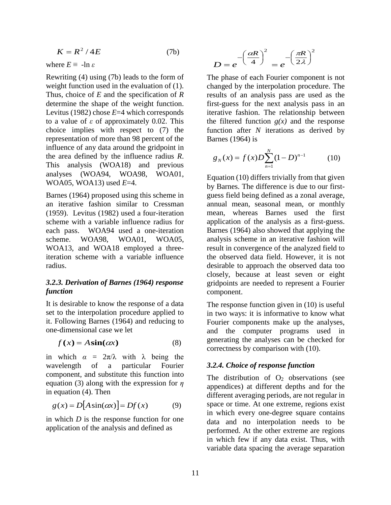$$
K = R^2 / 4E \tag{7b}
$$

where  $E \equiv -\ln \varepsilon$ 

Rewriting (4) using (7b) leads to the form of weight function used in the evaluation of  $(1)$ . Thus, choice of *E* and the specification of *R* determine the shape of the weight function. Levitus (1982) chose *E*=4 which corresponds to a value of *ε* of approximately 0.02. This choice implies with respect to (7) the representation of more than 98 percent of the influence of any data around the gridpoint in the area defined by the influence radius *R*. This analysis (WOA18) and previous analyses (WOA94, WOA98, WOA01, WOA05, WOA13) used *E*=4.

Barnes (1964) proposed using this scheme in an iterative fashion similar to Cressman (1959). Levitus (1982) used a four-iteration scheme with a variable influence radius for each pass. WOA94 used a one-iteration scheme. WOA98, WOA01, WOA05, WOA13, and WOA18 employed a threeiteration scheme with a variable influence radius.

#### *3.2.3. Derivation of Barnes (1964) response function*

It is desirable to know the response of a data set to the interpolation procedure applied to it. Following Barnes (1964) and reducing to one-dimensional case we let

$$
f(x) = A\sin(\alpha x) \tag{8}
$$

in which  $\alpha = 2\pi/\lambda$  with  $\lambda$  being the wavelength of a particular Fourier component, and substitute this function into equation (3) along with the expression for *η* in equation (4). Then

$$
g(x) = D[A\sin(\alpha x)] = Df(x) \tag{9}
$$

in which *D* is the response function for one application of the analysis and defined as

$$
D = e^{-\left(\frac{\alpha R}{4}\right)^2} = e^{-\left(\frac{\pi R}{2\lambda}\right)^2}
$$

The phase of each Fourier component is not changed by the interpolation procedure. The results of an analysis pass are used as the first-guess for the next analysis pass in an iterative fashion. The relationship between the filtered function  $g(x)$  and the response function after *N* iterations as derived by Barnes (1964) is

$$
g_N(x) = f(x)D\sum_{n=1}^N (1-D)^{n-1}
$$
 (10)

Equation (10) differs trivially from that given by Barnes. The difference is due to our firstguess field being defined as a zonal average, annual mean, seasonal mean, or monthly mean, whereas Barnes used the first application of the analysis as a first-guess. Barnes (1964) also showed that applying the analysis scheme in an iterative fashion will result in convergence of the analyzed field to the observed data field. However, it is not desirable to approach the observed data too closely, because at least seven or eight gridpoints are needed to represent a Fourier component.

The response function given in (10) is useful in two ways: it is informative to know what Fourier components make up the analyses, and the computer programs used in generating the analyses can be checked for correctness by comparison with (10).

#### *3.2.4. Choice of response function*

The distribution of  $O_2$  observations (see appendices) at different depths and for the different averaging periods, are not regular in space or time. At one extreme, regions exist in which every one-degree square contains data and no interpolation needs to be performed. At the other extreme are regions in which few if any data exist. Thus, with variable data spacing the average separation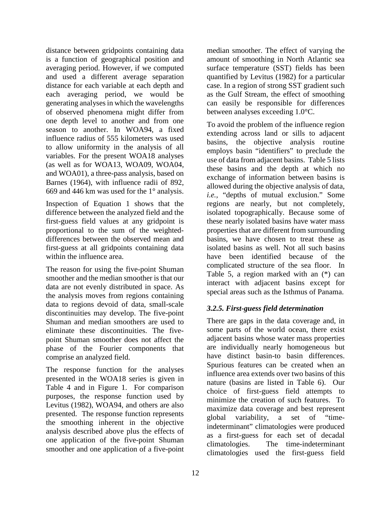distance between gridpoints containing data is a function of geographical position and averaging period. However, if we computed and used a different average separation distance for each variable at each depth and each averaging period, we would be generating analyses in which the wavelengths of observed phenomena might differ from one depth level to another and from one season to another. In WOA94, a fixed influence radius of 555 kilometers was used to allow uniformity in the analysis of all variables. For the present WOA18 analyses (as well as for WOA13, WOA09, WOA04, and WOA01), a three-pass analysis, based on Barnes (1964), with influence radii of 892, 669 and 446 km was used for the 1° analysis.

Inspection of Equation 1 shows that the difference between the analyzed field and the first-guess field values at any gridpoint is proportional to the sum of the weighteddifferences between the observed mean and first-guess at all gridpoints containing data within the influence area.

The reason for using the five-point Shuman smoother and the median smoother is that our data are not evenly distributed in space. As the analysis moves from regions containing data to regions devoid of data, small-scale discontinuities may develop. The five-point Shuman and median smoothers are used to eliminate these discontinuities. The fivepoint Shuman smoother does not affect the phase of the Fourier components that comprise an analyzed field.

The response function for the analyses presented in the WOA18 series is given in Table 4 and in Figure 1. For comparison purposes, the response function used by Levitus (1982), WOA94, and others are also presented. The response function represents the smoothing inherent in the objective analysis described above plus the effects of one application of the five-point Shuman smoother and one application of a five-point

median smoother. The effect of varying the amount of smoothing in North Atlantic sea surface temperature (SST) fields has been quantified by Levitus (1982) for a particular case. In a region of strong SST gradient such as the Gulf Stream, the effect of smoothing can easily be responsible for differences between analyses exceeding 1.0°C.

To avoid the problem of the influence region extending across land or sills to adjacent basins, the objective analysis routine employs basin "identifiers" to preclude the use of data from adjacent basins. Table 5 lists these basins and the depth at which no exchange of information between basins is allowed during the objective analysis of data, *i.e.,* "depths of mutual exclusion." Some regions are nearly, but not completely, isolated topographically. Because some of these nearly isolated basins have water mass properties that are different from surrounding basins, we have chosen to treat these as isolated basins as well. Not all such basins have been identified because of the complicated structure of the sea floor. In Table 5, a region marked with an (\*) can interact with adjacent basins except for special areas such as the Isthmus of Panama.

### *3.2.5. First-guess field determination*

There are gaps in the data coverage and, in some parts of the world ocean, there exist adjacent basins whose water mass properties are individually nearly homogeneous but have distinct basin-to basin differences. Spurious features can be created when an influence area extends over two basins of this nature (basins are listed in Table 6). Our choice of first-guess field attempts to minimize the creation of such features. To maximize data coverage and best represent global variability, a set of "timeindeterminant" climatologies were produced as a first-guess for each set of decadal climatologies. The time-indeterminant climatologies used the first-guess field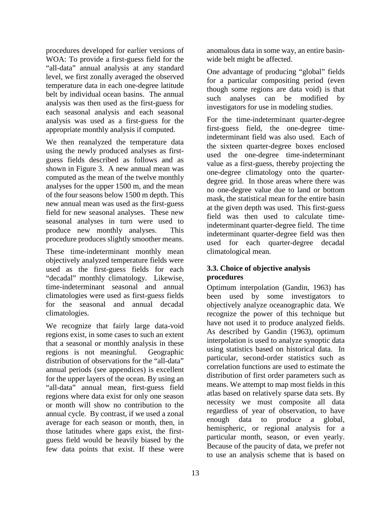procedures developed for earlier versions of WOA: To provide a first-guess field for the "all-data" annual analysis at any standard level, we first zonally averaged the observed temperature data in each one-degree latitude belt by individual ocean basins. The annual analysis was then used as the first-guess for each seasonal analysis and each seasonal analysis was used as a first-guess for the appropriate monthly analysis if computed.

We then reanalyzed the temperature data using the newly produced analyses as firstguess fields described as follows and as shown in Figure 3. A new annual mean was computed as the mean of the twelve monthly analyses for the upper 1500 m, and the mean of the four seasons below 1500 m depth. This new annual mean was used as the first-guess field for new seasonal analyses. These new seasonal analyses in turn were used to produce new monthly analyses. This procedure produces slightly smoother means.

These time-indeterminant monthly mean objectively analyzed temperature fields were used as the first-guess fields for each "decadal" monthly climatology. Likewise, time-indeterminant seasonal and annual climatologies were used as first-guess fields for the seasonal and annual decadal climatologies.

We recognize that fairly large data-void regions exist, in some cases to such an extent that a seasonal or monthly analysis in these regions is not meaningful. Geographic distribution of observations for the "all-data" annual periods (see appendices) is excellent for the upper layers of the ocean. By using an "all-data" annual mean, first-guess field regions where data exist for only one season or month will show no contribution to the annual cycle. By contrast, if we used a zonal average for each season or month, then, in those latitudes where gaps exist, the firstguess field would be heavily biased by the few data points that exist. If these were

anomalous data in some way, an entire basinwide belt might be affected.

One advantage of producing "global" fields for a particular compositing period (even though some regions are data void) is that such analyses can be modified by investigators for use in modeling studies.

For the time-indeterminant quarter-degree first-guess field, the one-degree timeindeterminant field was also used. Each of the sixteen quarter-degree boxes enclosed used the one-degree time-indeterminant value as a first-guess, thereby projecting the one-degree climatology onto the quarterdegree grid. In those areas where there was no one-degree value due to land or bottom mask, the statistical mean for the entire basin at the given depth was used. This first-guess field was then used to calculate timeindeterminant quarter-degree field. The time indeterminant quarter-degree field was then used for each quarter-degree decadal climatological mean.

### **3.3. Choice of objective analysis procedures**

Optimum interpolation (Gandin, 1963) has been used by some investigators to objectively analyze oceanographic data. We recognize the power of this technique but have not used it to produce analyzed fields. As described by Gandin (1963), optimum interpolation is used to analyze synoptic data using statistics based on historical data. In particular, second-order statistics such as correlation functions are used to estimate the distribution of first order parameters such as means. We attempt to map most fields in this atlas based on relatively sparse data sets. By necessity we must composite all data regardless of year of observation, to have enough data to produce a global, hemispheric, or regional analysis for a particular month, season, or even yearly. Because of the paucity of data, we prefer not to use an analysis scheme that is based on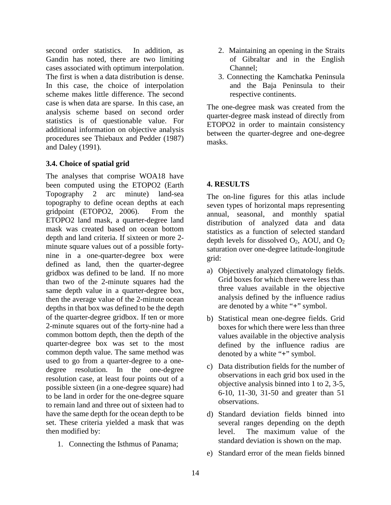second order statistics. In addition, as Gandin has noted, there are two limiting cases associated with optimum interpolation. The first is when a data distribution is dense. In this case, the choice of interpolation scheme makes little difference. The second case is when data are sparse. In this case, an analysis scheme based on second order statistics is of questionable value. For additional information on objective analysis procedures see Thiebaux and Pedder (1987) and Daley (1991).

#### **3.4. Choice of spatial grid**

The analyses that comprise WOA18 have been computed using the ETOPO2 (Earth Topography 2 arc minute) land-sea topography to define ocean depths at each gridpoint (ETOPO2, 2006). From the ETOPO2 land mask, a quarter-degree land mask was created based on ocean bottom depth and land criteria. If sixteen or more 2 minute square values out of a possible fortynine in a one-quarter-degree box were defined as land, then the quarter-degree gridbox was defined to be land. If no more than two of the 2-minute squares had the same depth value in a quarter-degree box, then the average value of the 2-minute ocean depths in that box was defined to be the depth of the quarter-degree gridbox. If ten or more 2-minute squares out of the forty-nine had a common bottom depth, then the depth of the quarter-degree box was set to the most common depth value. The same method was used to go from a quarter-degree to a onedegree resolution. In the one-degree resolution case, at least four points out of a possible sixteen (in a one-degree square) had to be land in order for the one-degree square to remain land and three out of sixteen had to have the same depth for the ocean depth to be set. These criteria yielded a mask that was then modified by:

1. Connecting the Isthmus of Panama;

- 2. Maintaining an opening in the Straits of Gibraltar and in the English Channel;
- 3. Connecting the Kamchatka Peninsula and the Baja Peninsula to their respective continents.

The one-degree mask was created from the quarter-degree mask instead of directly from ETOPO2 in order to maintain consistency between the quarter-degree and one-degree masks.

### **4. RESULTS**

The on-line figures for this atlas include seven types of horizontal maps representing annual, seasonal, and monthly spatial distribution of analyzed data and data statistics as a function of selected standard depth levels for dissolved  $O_2$ , AOU, and  $O_2$ saturation over one-degree latitude-longitude grid:

- a) Objectively analyzed climatology fields. Grid boxes for which there were less than three values available in the objective analysis defined by the influence radius are denoted by a white "**+**" symbol.
- b) Statistical mean one-degree fields. Grid boxes for which there were less than three values available in the objective analysis defined by the influence radius are denoted by a white "**+**" symbol.
- c) Data distribution fields for the number of observations in each grid box used in the objective analysis binned into 1 to 2, 3-5, 6-10, 11-30, 31-50 and greater than 51 observations.
- d) Standard deviation fields binned into several ranges depending on the depth level. The maximum value of the standard deviation is shown on the map.
- e) Standard error of the mean fields binned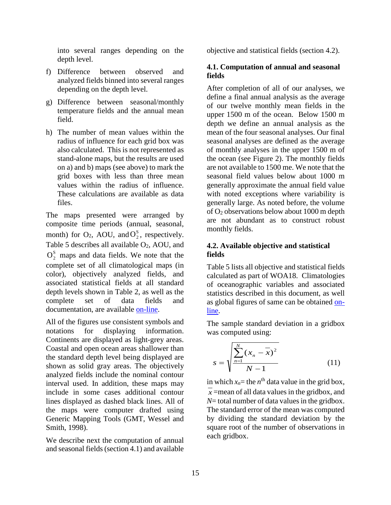into several ranges depending on the depth level.

- f) Difference between observed and analyzed fields binned into several ranges depending on the depth level.
- g) Difference between seasonal/monthly temperature fields and the annual mean field.
- h) The number of mean values within the radius of influence for each grid box was also calculated. This is not represented as stand-alone maps, but the results are used on a) and b) maps (see above) to mark the grid boxes with less than three mean values within the radius of influence. These calculations are available as data files.

The maps presented were arranged by composite time periods (annual, seasonal, month) for  $O_2$ , AOU, and  $O_2^S$ , respectively. Table 5 describes all available O<sub>2</sub>, AOU, and  $O_2^s$  maps and data fields. We note that the complete set of all climatological maps (in color), objectively analyzed fields, and associated statistical fields at all standard depth levels shown in Table 2, as well as the complete set of data fields and documentation, are available [on-line.](http://www.nodc.noaa.gov/OC5/indprod.html)

All of the figures use consistent symbols and notations for displaying information. Continents are displayed as light-grey areas. Coastal and open ocean areas shallower than the standard depth level being displayed are shown as solid gray areas. The objectively analyzed fields include the nominal contour interval used. In addition, these maps may include in some cases additional contour lines displayed as dashed black lines. All of the maps were computer drafted using Generic Mapping Tools (GMT, Wessel and Smith, 1998).

We describe next the computation of annual and seasonal fields (section 4.1) and available objective and statistical fields (section 4.2).

#### **4.1. Computation of annual and seasonal fields**

After completion of all of our analyses, we define a final annual analysis as the average of our twelve monthly mean fields in the upper 1500 m of the ocean. Below 1500 m depth we define an annual analysis as the mean of the four seasonal analyses. Our final seasonal analyses are defined as the average of monthly analyses in the upper 1500 m of the ocean (see Figure 2). The monthly fields are not available to 1500 me. We note that the seasonal field values below about 1000 m generally approximate the annual field value with noted exceptions where variability is generally large. As noted before, the volume of O2 observations below about 1000 m depth are not abundant as to construct robust monthly fields.

#### **4.2. Available objective and statistical fields**

Table 5 lists all objective and statistical fields calculated as part of WOA18. Climatologies of oceanographic variables and associated statistics described in this document, as well as global figures of same can be obtained [on](http://www.nodc.noaa.gov/OC5/woa13f/index.html)[line.](http://www.nodc.noaa.gov/OC5/woa13f/index.html)

The sample standard deviation in a gridbox was computed using:

$$
s = \sqrt{\frac{\sum_{n=1}^{N} (x_n - \overline{x})^2}{N - 1}}
$$
 (11)

in which  $x_n$ = the  $n^{\text{th}}$  data value in the grid box,  $x =$ mean of all data values in the gridbox, and *N*= total number of data values in the gridbox. The standard error of the mean was computed by dividing the standard deviation by the square root of the number of observations in each gridbox.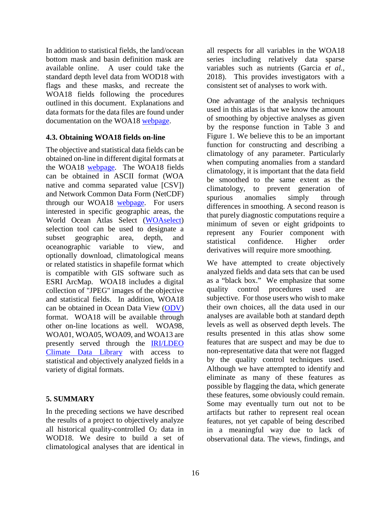In addition to statistical fields, the land/ocean bottom mask and basin definition mask are available online. A user could take the standard depth level data from WOD18 with flags and these masks, and recreate the WOA18 fields following the procedures outlined in this document. Explanations and data formats for the data files are found under documentation on the WOA18 [webpage.](http://www.nodc.noaa.gov/OC5/woa18/woa18data.html)

#### **4.3. Obtaining WOA18 fields on-line**

The objective and statistical data fields can be obtained on-line in different digital formats at the WOA18 [webpage.](http://www.nodc.noaa.gov/OC5/woa18/woa18data.html) The WOA18 fields can be obtained in ASCII format (WOA native and comma separated value [CSV]) and Network Common Data Form (NetCDF) through our WOA18 [webpage.](http://www.nodc.noaa.gov/OC5/woa18/woa18data.html) For users interested in specific geographic areas, the World Ocean Atlas Select [\(WOAselect\)](http://www.nodc.noaa.gov/OC5/SELECT/dbsearch/dbsearch.html) selection tool can be used to designate a subset geographic area, depth, and oceanographic variable to view, and optionally download, climatological means or related statistics in shapefile format which is compatible with GIS software such as ESRI ArcMap. WOA18 includes a digital collection of "JPEG" images of the objective and statistical fields. In addition, WOA18 can be obtained in Ocean Data View [\(ODV\)](http://odv.awi.de/) format. WOA18 will be available through other on-line locations as well. WOA98, WOA01, WOA05, WOA09, and WOA13 are presently served through the [IRI/LDEO](http://iridl.ldeo.columbia.edu/)  [Climate Data Library](http://iridl.ldeo.columbia.edu/) with access to statistical and objectively analyzed fields in a variety of digital formats.

### **5. SUMMARY**

In the preceding sections we have described the results of a project to objectively analyze all historical quality-controlled  $O<sub>2</sub>$  data in WOD18. We desire to build a set of climatological analyses that are identical in

all respects for all variables in the WOA18 series including relatively data sparse variables such as nutrients (Garcia *et al.,* 2018). This provides investigators with a consistent set of analyses to work with.

One advantage of the analysis techniques used in this atlas is that we know the amount of smoothing by objective analyses as given by the response function in Table 3 and Figure 1. We believe this to be an important function for constructing and describing a climatology of any parameter. Particularly when computing anomalies from a standard climatology, it is important that the data field be smoothed to the same extent as the climatology, to prevent generation of spurious anomalies simply through differences in smoothing. A second reason is that purely diagnostic computations require a minimum of seven or eight gridpoints to represent any Fourier component with statistical confidence. Higher order derivatives will require more smoothing.

We have attempted to create objectively analyzed fields and data sets that can be used as a "black box." We emphasize that some quality control procedures used are subjective. For those users who wish to make their own choices, all the data used in our analyses are available both at standard depth levels as well as observed depth levels. The results presented in this atlas show some features that are suspect and may be due to non-representative data that were not flagged by the quality control techniques used. Although we have attempted to identify and eliminate as many of these features as possible by flagging the data, which generate these features, some obviously could remain. Some may eventually turn out not to be artifacts but rather to represent real ocean features, not yet capable of being described in a meaningful way due to lack of observational data. The views, findings, and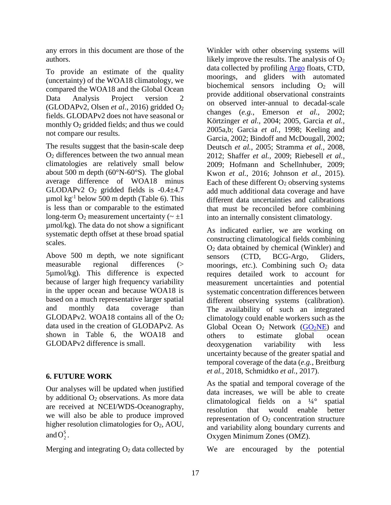any errors in this document are those of the authors.

To provide an estimate of the quality (uncertainty) of the WOA18 climatology, we compared the WOA18 and the Global Ocean Data Analysis Project version 2 (GLODAPv2, Olsen *et al.*, 2016) gridded O2 fields. GLODAPv2 does not have seasonal or monthly O<sub>2</sub> gridded fields; and thus we could not compare our results.

The results suggest that the basin-scale deep O2 differences between the two annual mean climatologies are relatively small below about 500 m depth (60°N-60°S). The global average difference of WOA18 minus GLODAPv2  $O_2$  gridded fields is  $-0.4\pm4.7$  $\mu$ mol kg<sup>-1</sup> below 500 m depth (Table 6). This is less than or comparable to the estimated long-term  $O_2$  measurement uncertainty ( $\sim \pm 1$ ) µmol/kg). The data do not show a significant systematic depth offset at these broad spatial scales.

Above 500 m depth, we note significant measurable regional differences (> 5µmol/kg). This difference is expected because of larger high frequency variability in the upper ocean and because WOA18 is based on a much representative larger spatial and monthly data coverage than GLODAPv2. WOA18 contains all of the  $O<sub>2</sub>$ data used in the creation of GLODAPv2. As shown in Table 6, the WOA18 and GLODAPv2 difference is small.

### **6. FUTURE WORK**

Our analyses will be updated when justified by additional O2 observations. As more data are received at NCEI/WDS-Oceanography, we will also be able to produce improved higher resolution climatologies for  $O_2$ , AOU, and  $O_2^s$ .

Merging and integrating  $O<sub>2</sub>$  data collected by

Winkler with other observing systems will likely improve the results. The analysis of  $O<sub>2</sub>$ data collected by profiling [Argo](http://www.argo.ucsd.edu/) floats, CTD, moorings, and gliders with automated biochemical sensors including  $O_2$  will provide additional observational constraints on observed inter-annual to decadal-scale changes (*e.g.*, Emerson *et al.,* 2002; Körtzinger *et al.,* 2004; 2005, Garcia *et al.,* 2005a,b; Garcia *et al.,* 1998; Keeling and Garcia, 2002; Bindoff and McDougall, 2002; Deutsch *et al.,* 2005; Stramma *et al.,* 2008, 2012; Shaffer *et al.,* 2009; Riebesell *et al.,* 2009; Hofmann and Schellnhuber, 2009; Kwon *et al.*, 2016; Johnson *et al.*, 2015). Each of these different  $O_2$  observing systems add much additional data coverage and have different data uncertainties and calibrations that must be reconciled before combining into an internally consistent climatology.

As indicated earlier, we are working on constructing climatological fields combining O2 data obtained by chemical (Winkler) and sensors (CTD, BCG-Argo, Gliders, moorings,  $etc.$ ). Combining such  $O<sub>2</sub>$  data requires detailed work to account for measurement uncertainties and potential systematic concentration differences between different observing systems (calibration). The availability of such an integrated climatology could enable workers such as the Global Ocean  $O_2$  Network  $(GO_2NE)$  and others to estimate global ocean deoxygenation variability with less uncertainty because of the greater spatial and temporal coverage of the data (*e.g.*, Breitburg *et al.*, 2018, Schmidtko *et al.*, 2017).

As the spatial and temporal coverage of the data increases, we will be able to create climatological fields on a ¼° spatial resolution that would enable better representation of  $O<sub>2</sub>$  concentration structure and variability along boundary currents and Oxygen Minimum Zones (OMZ).

We are encouraged by the potential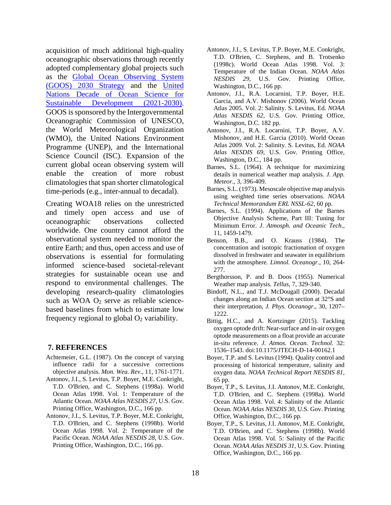acquisition of much additional high-quality oceanographic observations through recently adopted complementary global projects such as the [Global Ocean Observing System](https://www.goosocean.org/index.php?option=com_oe&task=viewDocumentRecord&docID=24590)  [\(GOOS\) 2030 Strategy](https://www.goosocean.org/index.php?option=com_oe&task=viewDocumentRecord&docID=24590) and the [United](https://en.unesco.org/ocean-decade)  [Nations Decade of Ocean Science for](https://en.unesco.org/ocean-decade)  [Sustainable Development \(2021-2030\).](https://en.unesco.org/ocean-decade) GOOS is sponsored by the Intergovernmental Oceanographic Commission of UNESCO, the World Meteorological Organization (WMO), the United Nations Environment Programme (UNEP), and the International Science Council (ISC). Expansion of the current global ocean observing system will enable the creation of more robust climatologies that span shorter climatological time-periods (e.g., inter-annual to decadal).

Creating WOA18 relies on the unrestricted and timely open access and use of oceanographic observations collected worldwide. One country cannot afford the observational system needed to monitor the entire Earth; and thus, open access and use of observations is essential for formulating informed science-based societal-relevant strategies for sustainable ocean use and respond to environmental challenges. The developing research-quality climatologies such as WOA O<sub>2</sub> serve as reliable sciencebased baselines from which to estimate low frequency regional to global  $O_2$  variability.

#### **7. REFERENCES**

- Achtemeier, G.L. (1987). On the concept of varying influence radii for a successive corrections objective analysis. *Mon. Wea. Rev*., 11, 1761-1771.
- Antonov, J.I., S. Levitus, T.P. Boyer, M.E. Conkright, T.D. O'Brien, and C. Stephens (1998a). World Ocean Atlas 1998. Vol. 1: Temperature of the Atlantic Ocean. *NOAA Atlas NESDIS 27*, U.S. Gov. Printing Office, Washington, D.C., 166 pp.
- Antonov, J.I., S. Levitus, T.P. Boyer, M.E. Conkright, T.D. O'Brien, and C. Stephens (1998b). World Ocean Atlas 1998. Vol. 2: Temperature of the Pacific Ocean. *NOAA Atlas NESDIS 28*, U.S. Gov. Printing Office, Washington, D.C., 166 pp.
- Antonov, J.I., S. Levitus, T.P. Boyer, M.E. Conkright, T.D. O'Brien, C. Stephens, and B. Trotsenko (1998c). World Ocean Atlas 1998. Vol. 3: Temperature of the Indian Ocean. *NOAA Atlas NESDIS 29*, U.S. Gov. Printing Office, Washington, D.C., 166 pp.
- Antonov, J.I., R.A. Locarnini, T.P. Boyer, H.E. Garcia, and A.V. Mishonov (2006). World Ocean Atlas 2005. Vol. 2: Salinity. S. Levitus, Ed*. NOAA Atlas NESDIS 62*, U.S. Gov. Printing Office, Washington, D.C. 182 pp.
- Antonov, J.I., R.A. Locarnini, T.P. Boyer, A.V. Mishonov, and H.E. Garcia (2010). World Ocean Atlas 2009. Vol. 2: Salinity*.* S. Levitus, Ed. *NOAA Atlas NESDIS 69*, U.S. Gov. Printing Office, Washington, D.C., 184 pp.
- Barnes, S.L. (1964). A technique for maximizing details in numerical weather map analysis. *J. App. Meteor*., 3, 396-409.
- Barnes, S.L. (1973). Mesoscale objective map analysis using weighted time series observations. *NOAA Technical Memorandum ERL NSSL-62*, 60 pp.
- Barnes, S.L. (1994). Applications of the Barnes Objective Analysis Scheme, Part III: Tuning for Minimum Error. *J. Atmosph. and Oceanic Tech*., 11, 1459-1479.
- Benson, B.B., and O. Krauss (1984). The concentration and isotopic fractionation of oxygen dissolved in freshwater and seawater in equilibrium with the atmosphere. *Limnol. Oceanogr*., 10, 264- 277.
- Bergthorsson, P. and B. Doos (1955). Numerical Weather map analysis. *Tellus*, 7, 329-340.
- Bindoff, N.L., and T.J. McDougall (2000). Decadal changes along an Indian Ocean section at 32°S and their interpretation, *J. Phys. Oceanogr*., 30, 1207– 1222.
- Bittig, H.C., and A. Kortzinger (2015). Tackling oxygen optode drift: Near-surface and in-air oxygen optode measurements on a float provide an accurate in-situ reference. *J. Atmos. Ocean. Technol*. 32: 1536–1543. doi:10.1175/JTECH-D-14-00162.1
- Boyer, T.P. and S. Levitus (1994). Quality control and processing of historical temperature, salinity and oxygen data*. NOAA Technical Report NESDIS 81*, 65 pp.
- Boyer, T.P., S. Levitus, J.I. Antonov, M.E. Conkright, T.D. O'Brien, and C. Stephens (1998a). World Ocean Atlas 1998. Vol. 4: Salinity of the Atlantic Ocean. *NOAA Atlas NESDIS 30*, U.S. Gov. Printing Office, Washington, D.C., 166 pp.
- Boyer, T.P., S. Levitus, J.I. Antonov, M.E. Conkright, T.D. O'Brien, and C. Stephens (1998b). World Ocean Atlas 1998. Vol. 5: Salinity of the Pacific Ocean. *NOAA Atlas NESDIS 31*, U.S. Gov. Printing Office, Washington, D.C., 166 pp.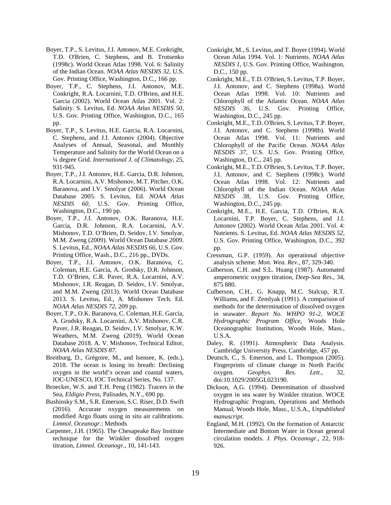- Boyer, T.P., S. Levitus, J.I. Antonov, M.E. Conkright, T.D. O'Brien, C. Stephens, and B. Trotsenko (1998c). World Ocean Atlas 1998. Vol. 6: Salinity of the Indian Ocean. *NOAA Atlas NESDIS 32*, U.S. Gov. Printing Office, Washington, D.C., 166 pp.
- Boyer, T.P., C. Stephens, J.I. Antonov, M.E. Conkright, R.A. Locarnini, T.D. O'Brien, and H.E. Garcia (2002). World Ocean Atlas 2001. Vol. 2: Salinity. S. Levitus, Ed. *NOAA Atlas NESDIS 50*, U.S. Gov. Printing Office, Washington, D.C., 165 pp.
- Boyer, T.P., S. Levitus, H.E. Garcia, R.A. Locarnini, C. Stephens, and J.I. Antonov (2004). Objective Analyses of Annual, Seasonal, and Monthly Temperature and Salinity for the World Ocean on a ¼ degree Grid. *International J. of Climatology*, 25, 931-945.
- Boyer, T.P., J.I. Antonov, H.E. Garcia, D.R. Johnson, R.A. Locarnini, A.V. Mishonov, M.T. Pitcher, O.K. Baranova, and I.V. Smolyar (2006). World Ocean Database 2005. S. Levitus, Ed. *NOAA Atlas NESDIS 60*, U.S. Gov. Printing Office, Washington, D.C., 190 pp.
- Boyer, T.P., J.I. Antonov, O.K. Baranova, H.E. Garcia, D.R. Johnson, R.A. Locarnini, A.V. Mishonov, T.D. O'Brien, D. Seidov, I.V. Smolyar, M.M. Zweng (2009). World Ocean Database 2009. S. Levitus, Ed., *NOAA Atlas NESDIS 66*, U.S. Gov. Printing Office, Wash., D.C., 216 pp., DVDs.
- Boyer, T.P., J.I. Antonov, O.K. Baranova, C. Coleman, H.E. Garcia, A. Grodsky, D.R. Johnson, T.D. O'Brien, C.R. Paver, R.A. Locarnini, A.V. Mishonov, J.R. Reagan, D. Seidov, I.V. Smolyar, and M.M. Zweng (2013). World Ocean Database 2013. S. Levitus, Ed., A. Mishonov Tech. Ed. *NOAA Atlas NESDIS 72*, 209 pp.
- Boyer, T.P., O.K. Baranova, C. Coleman, H.E. García, A. Grodsky, R.A. Locarnini, A.V. Mishonov, C.R. Paver, J.R. Reagan, D. Seidov, I.V. Smolyar, K.W. Weathers, M.M. Zweng (2019). World Ocean Database 2018. A. V. Mishonov, Technical Editor, *NOAA Atlas NESDIS 87*.
- Breitburg, D., Grégoire, M., and Isensee, K. (eds.), 2018. The ocean is losing its breath: Declining oxygen in the world's ocean and coastal waters, IOC-UNESCO, IOC Technical Series, No. 137.
- Broecker, W.S. and T.H. Peng (1982). Tracers in the Sea, *Eldigio Press*, Palisades, N.Y., 690 pp.
- Bushinsky S.M., S.R. Emerson, S.C. Riser, D.D. Swift (2016). Accurate oxygen measurements on modified Argo floats using in situ air calibrations. *Limnol. Oceanogr*.: Methods
- Carpenter, J.H. (1965). The Chesapeake Bay Institute technique for the Winkler dissolved oxygen titration, *Limnol. Oceanogr*., 10, 141-143.
- Conkright, M., S. Levitus, and T. Boyer (1994). World Ocean Atlas 1994. Vol. 1: Nutrients. *NOAA Atlas NESDIS 1*, U.S. Gov. Printing Office, Washington, D.C., 150 pp.
- Conkright, M.E., T.D. O'Brien, S. Levitus, T.P. Boyer, J.I. Antonov, and C. Stephens (1998a). World Ocean Atlas 1998. Vol. 10: Nutrients and Chlorophyll of the Atlantic Ocean. *NOAA Atlas NESDIS 36*, U.S. Gov. Printing Office, Washington, D.C., 245 pp.
- Conkright, M.E., T.D. O'Brien, S. Levitus, T.P. Boyer, J.I. Antonov, and C. Stephens (1998b). World Ocean Atlas 1998. Vol. 11: Nutrients and Chlorophyll of the Pacific Ocean. *NOAA Atlas NESDIS 37*, U.S. U.S. Gov. Printing Office, Washington, D.C., 245 pp.
- Conkright, M.E., T.D. O'Brien, S. Levitus, T.P. Boyer, J.I. Antonov, and C. Stephens (1998c). World Ocean Atlas 1998. Vol. 12: Nutrients and Chlorophyll of the Indian Ocean. *NOAA Atlas NESDIS 38*, U.S. Gov. Printing Office, Washington, D.C., 245 pp.
- Conkright, M.E., H.E. Garcia, T.D. O'Brien, R.A. Locarnini, T.P. Boyer, C. Stephens, and J.I. Antonov (2002). World Ocean Atlas 2001. Vol. 4: Nutrients*.* S. Levitus, Ed. *NOAA Atlas NESDIS 52*, U.S. Gov. Printing Office, Washington, D.C., 392 pp.
- Cressman, G.P. (1959). An operational objective analysis scheme. *Mon. Wea. Rev.*, 87, 329-340.
- Culberson, C.H. and S.L. Huang (1987). Automated amperometric oxygen titration, *Deep-Sea Res*., 34, 875 880.
- Culberson, C.H., G. Knapp, M.C. Stalcup, R.T. Williams, and F. Zemlyak (1991). A comparison of methods for the determination of dissolved oxygen in seawate*r*. *Report No. WHPO 91-2, WOCE Hydrographic Program Office*, Woods Hole Oceanographic Institution, Woods Hole, Mass., U.S.A.
- Daley, R. (1991). Atmospheric Data Analysis. Cambridge University Press, Cambridge, 457 pp.
- Deutsch, C., S. Emerson, and L. Thompson (2005). Fingerprints of climate change in North Pacific oxygen. *Geophys. Res. Lett*., 32, doi:10.1029/2005GL023190.
- Dickson, A.G. (1994). Determination of dissolved oxygen in sea water by Winkler titration. WOCE Hydrographic Program, Operations and Methods Manual, Woods Hole, Mass., U.S.A., *Unpublished manuscript*.
- England, M.H. (1992). On the formation of Antarctic Intermediate and Bottom Water in Ocean general circulation models. *J. Phys. Oceanogr*., 22, 918- 926.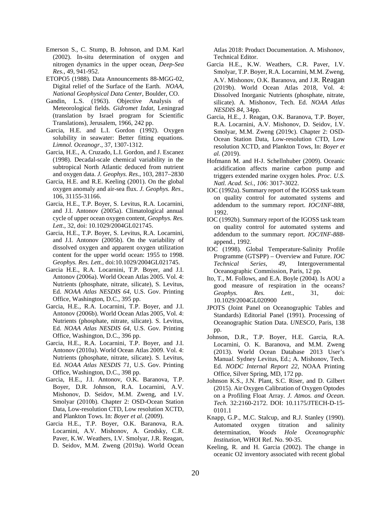- Emerson S., C. Stump, B. Johnson, and D.M. Karl (2002). In-situ determination of oxygen and nitrogen dynamics in the upper ocean, *Deep-Sea Res.*, 49, 941-952.
- ETOPO5 (1988). Data Announcements 88-MGG-02, Digital relief of the Surface of the Earth*. NOAA, National Geophysical Data Center*, Boulder, CO.
- Gandin, L.S. (1963). Objective Analysis of Meteorological fields. *Gidromet Izdat*, Leningrad (translation by Israel program for Scientific Translations), Jerusalem, 1966, 242 pp.
- Garcia, H.E. and L.I. Gordon (1992). Oxygen solubility in seawater: Better fitting equations. *Limnol. Oceanogr*., 37, 1307-1312.
- Garcia, H.E., A. Cruzado, L.I. Gordon, and J. Escanez (1998). Decadal-scale chemical variability in the subtropical North Atlantic deduced from nutrient and oxygen data. *J. Geophys. Res*., 103, 2817–2830
- Garcia, H.E. and R.E. Keeling (2001). On the global oxygen anomaly and air-sea flux. *J. Geophys. Res*., 106, 31155-31166.
- Garcia, H.E., T.P. Boyer, S. Levitus, R.A. Locarnini, and J.I. Antonov (2005a). Climatological annual cycle of upper ocean oxygen content, *Geophys. Res. Lett*., 32, doi: 10.1029/2004GL021745.
- Garcia, H.E., T.P. Boyer, S. Levitus, R.A. Locarnini, and J.I. Antonov (2005b). On the variability of dissolved oxygen and apparent oxygen utilization content for the upper world ocean: 1955 to 1998. *Geophys. Res. Lett.*, doi:10.1029/2004GL021745.
- Garcia H.E., R.A. Locarnini, T.P. Boyer, and J.I. Antonov (2006a). World Ocean Atlas 2005. Vol. 4: Nutrients (phosphate, nitrate, silicate), S. Levitus, Ed. *NOAA Atlas NESDIS 64*, U.S. Gov. Printing Office, Washington, D.C., 395 pp.
- Garcia, H.E., R.A. Locarnini, T.P. Boyer, and J.I. Antonov (2006b). World Ocean Atlas 2005, Vol. 4: Nutrients (phosphate, nitrate, silicate)*.* S. Levitus, Ed. *NOAA Atlas NESDIS 64*, U.S. Gov. Printing Office, Washington, D.C., 396 pp.
- Garcia, H.E., R.A. Locarnini, T.P. Boyer, and J.I. Antonov (2010a). World Ocean Atlas 2009. Vol. 4: Nutrients (phosphate, nitrate, silicate). S. Levitus, Ed. *NOAA Atlas NESDIS 71*, U.S. Gov. Printing Office, Washington, D.C., 398 pp.
- Garcia, H.E., J.I. Antonov, O.K. Baranova, T.P. Boyer, D.R. Johnson, R.A. Locarnini, A.V. Mishonov, D. Seidov, M.M. Zweng, and I.V. Smolyar (2010b)*.* Chapter 2: OSD-Ocean Station Data, Low-resolution CTD, Low resolution XCTD, and Plankton Tows. In: *Boyer et al*. (2009).
- Garcia H.E., T.P. Boyer, O.K. Baranova, R.A. Locarnini, A.V. Mishonov, A. Grodsky, C.R. Paver, K.W. Weathers, I.V. Smolyar, J.R. Reagan, D. Seidov, M.M. Zweng (2019a). World Ocean

Atlas 2018: Product Documentation. A. Mishonov, Technical Editor.

- Garcia H.E., K.W. Weathers, C.R. Paver, I.V. Smolyar, T.P. Boyer, R.A. Locarnini, M.M. Zweng, A.V. Mishonov, O.K. Baranova, and J.R. Reagan (2019b). World Ocean Atlas 2018, Vol. 4: Dissolved Inorganic Nutrients (phosphate, nitrate, silicate). A. Mishonov, Tech. Ed. *NOAA Atlas NESDIS 84*, 34pp.
- Garcia, H.E., J. Reagan, O.K. Baranova, T.P. Boyer, R.A. Locarnini, A.V. Mishonov, D. Seidov, I.V. Smolyar, M.M. Zweng (2019c). Chapter 2: OSD-Ocean Station Data, Low-resolution CTD, Low resolution XCTD, and Plankton Tows, In: *Boyer et al.* (2019).
- Hofmann M. and H-J. Schellnhuber (2009). Oceanic acidification affects marine carbon pump and triggers extended marine oxygen holes*. Proc. U.S. Natl. Acad. Sci., 106*: 3017-3022.
- IOC (1992a). Summary report of the IGOSS task team on quality control for automated systems and addendum to the summary report. *IOC/INF-888*, 1992.
- IOC (1992b). Summary report of the IGOSS task team on quality control for automated systems and addendum to the summary report. *IOC/INF-888* append., 1992.
- IOC (1998). Global Temperature-Salinity Profile Programme (GTSPP) – Overview and Future. *IOC Technical Series, 49*, Intergovernmental Oceanographic Commission, Paris, 12 pp.
- Ito, T., M. Follows, and E.A. Boyle (2004). Is AOU a good measure of respiration in the oceans? *Geophys. Res. Lett*., 31, doi: 10.1029/2004GL020900
- JPOTS (Joint Panel on Oceanographic Tables and Standards) Editorial Panel (1991). Processing of Oceanographic Station Data. *UNESCO*, Paris, 138 pp.
- Johnson, D.R., T.P. Boyer, H.E. Garcia, R.A. Locarnini, O. K. Baranova, and M.M. Zweng (2013). World Ocean Database 2013 User's Manua*l.* Sydney Levitus, Ed.; A. Mishonov, Tech. Ed. *NODC Internal Report 22*, NOAA Printing Office, Silver Spring, MD, 172 pp.
- Johnson K.S., J.N. Plant, S.C. Riser, and D. Gilbert (2015). Air Oxygen Calibration of Oxygen Optodes on a Profiling Float Array. *J. Atmos. and Ocean. Tech.* 32:2160-2172. DOI: 10.1175/JTECH-D-15- 0101.1
- Knapp, G.P., M.C. Stalcup, and R.J. Stanley (1990). Automated oxygen titration and salinity determination, *Woods Hole Oceanographic Institution*, WHOI Ref. No. 90-35.
- Keeling, R. and H. Garcia (2002). The change in oceanic O2 inventory associated with recent global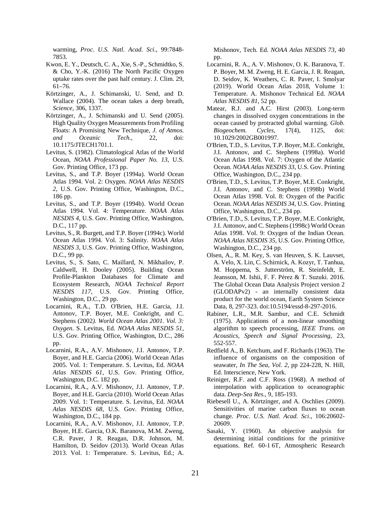warming, *Proc. U.S. Natl. Acad. Sci*., 99:7848- 7853.

- Kwon, E. Y., Deutsch, C. A., Xie, S.-P., Schmidtko, S. & Cho, Y.-K. (2016) The North Pacific Oxygen uptake rates over the past half century. J. Clim. 29, 61–76.
- Körtzinger, A., J. Schimanski, U. Send, and D. Wallace (2004). The ocean takes a deep breath, *Science,* 306, 1337.
- Körtzinger, A., J. Schimanski and U. Send (2005). High Quality Oxygen Measurements from Profiling Floats: A Promising New Technique, *J. of Atmos. and Oceanic Tech.*, 22, doi: 10.1175/JTECH1701.1.
- Levitus, S. (1982). Climatological Atlas of the World Ocean*, NOAA Professional Paper No. 13*, U.S. Gov. Printing Office, 173 pp.
- Levitus, S., and T.P. Boyer (1994a). World Ocean Atlas 1994. Vol. 2: Oxygen. *NOAA Atlas NESDIS 2*, U.S. Gov. Printing Office, Washington, D.C., 186 pp.
- Levitus, S., and T.P. Boyer (1994b). World Ocean Atlas 1994. Vol. 4: Temperature. *NOAA Atlas NESDIS 4*, U.S. Gov. Printing Office, Washington, D.C., 117 pp.
- Levitus, S., R. Burgett, and T.P. Boyer (1994c). World Ocean Atlas 1994. Vol. 3: Salinity. *NOAA Atlas NESDIS 3*, U.S. Gov. Printing Office, Washington, D.C., 99 pp.
- Levitus, S., S. Sato, C. Maillard, N. Mikhailov, P. Caldwell, H. Dooley (2005). Building Ocean Profile-Plankton Databases for Climate and Ecosystem Research, *NOAA Technical Report NESDIS 117*, U.S. Gov. Printing Office, Washington, D.C., 29 pp.
- Locarnini, R.A., T.D. O'Brien, H.E. Garcia, J.I. Antonov, T.P. Boyer, M.E. Conkright, and C. Stephens (2002*). World Ocean Atlas 2001. Vol. 3: Oxygen*. S. Levitus, Ed. *NOAA Atlas NESDIS 51*, U.S. Gov. Printing Office, Washington, D.C., 286 pp.
- Locarnini, R.A., A.V. Mishonov, J.I. Antonov, T.P. Boyer, and H.E. Garcia (2006). World Ocean Atlas 2005. Vol. 1: Temperature. S. Levitus, Ed. *NOAA Atlas NESDIS 61*, U.S. Gov. Printing Office, Washington, D.C. 182 pp.
- Locarnini, R.A., A.V. Mishonov, J.I. Antonov, T.P. Boyer, and H.E. Garcia (2010). World Ocean Atlas 2009. Vol. 1: Temperature*.* S. Levitus, Ed. *NOAA Atlas NESDIS 68*, U.S. Gov. Printing Office, Washington, D.C., 184 pp.
- Locarnini, R.A., A.V. Mishonov, J.I. Antonov, T.P. Boyer, H.E. Garcia, O.K. Baranova, M.M. Zweng, C.R. Paver, J R. Reagan, D.R. Johnson, M. Hamilton, D. Seidov (2013). World Ocean Atlas 2013. Vol. 1: Temperature. S. Levitus, Ed.; A.

Mishonov, Tech. Ed. *NOAA Atlas NESDIS 73*, 40 pp.

- Locarnini, R. A., A. V. Mishonov, O. K. Baranova, T. P. Boyer, M. M. Zweng, H. E. Garcia, J. R. Reagan, D. Seidov, K. Weathers, C. R. Paver, I. Smolyar (2019). World Ocean Atlas 2018, Volume 1: Temperature. A. Mishonov Technical Ed. *NOAA Atlas NESDIS 81*, 52 pp.
- Matear, R.J. and A.C. Hirst (2003). Long-term changes in dissolved oxygen concentrations in the ocean caused by protracted global warming. *Glob. Biogeochem. Cycles,* 17(4), 1125, doi: 10.1029/2002GB001997.
- O'Brien, T.D., S. Levitus, T.P. Boyer, M.E. Conkright, J.I. Antonov, and C. Stephens (1998a). World Ocean Atlas 1998. Vol. 7: Oxygen of the Atlantic Ocean. *NOAA Atlas NESDIS 33*, U.S. Gov. Printing Office, Washington, D.C., 234 pp.
- O'Brien, T.D., S. Levitus, T.P. Boyer, M.E. Conkright, J.I. Antonov, and C. Stephens (1998b) World Ocean Atlas 1998. Vol. 8: Oxygen of the Pacific Ocean. *NOAA Atlas NESDIS 34*, U.S. Gov. Printing Office, Washington, D.C., 234 pp.
- O'Brien, T.D., S. Levitus, T.P. Boyer, M.E. Conkright, J.I. Antonov, and C. Stephens (1998c) World Ocean Atlas 1998. Vol. 9: Oxygen of the Indian Ocean. *NOAA Atlas NESDIS 35*, U.S. Gov. Printing Office, Washington, D.C., 234 pp.
- Olsen, A., R. M. Key, S. van Heuven, S. K. Lauvset, A. Velo, X. Lin, C. Schirnick, A. Kozyr, T. Tanhua, M. Hoppema, S. Jutterström, R. Steinfeldt, E. Jeansson, M. Ishii, F. F. Pérez & T. Suzuki. 2016. The Global Ocean Data Analysis Project version 2 (GLODAPv2) - an internally consistent data product for the world ocean, Earth System Science Data, 8, 297-323. doi:10.5194/essd-8-297-2016.
- Rabiner, L.R., M.R. Sambur, and C.E. Schmidt (1975). Applications of a non-linear smoothing algorithm to speech processing, *IEEE Trans. on Acoustics, Speech and Signal Processing*, 23, 552-557.
- Redfield A., B. Ketchum, and F. Richards (1963). The influence of organisms on the composition of seawater*, In The Sea*, *Vol. 2*, pp 224-228, N. Hill, Ed. Interscience, New York.
- Reiniger, R.F. and C.F. Ross (1968). A method of interpolation with application to oceanographic data. *Deep-Sea Res*., 9, 185-193.
- Riebesell U., A. Körtzinger, and A. Oschlies (2009). Sensitivities of marine carbon fluxes to ocean change. *Proc. U.S. Natl. Acad. Sci*., 106:20602- 20609.
- Sasaki, Y. (1960). An objective analysis for determining initial conditions for the primitive equations. Ref. 60-1 6T, Atmospheric Research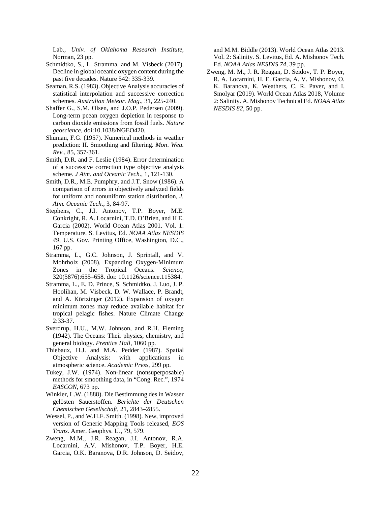Lab., *Univ. of Oklahoma Research Institute*, Norman, 23 pp.

- Schmidtko, S., L. Stramma, and M. Visbeck (2017). Decline in global oceanic oxygen content during the past five decades. Nature 542: 335-339.
- Seaman, R.S. (1983). Objective Analysis accuracies of statistical interpolation and successive correction schemes. *Australian Meteor. Mag*., 31, 225-240.
- Shaffer G., S.M. Olsen, and J.O.P. Pedersen (2009). Long-term pcean oxygen depletion in response to carbon dioxide emissions from fossil fuels. *Nature geoscience*, doi:10.1038/NGEO420.
- Shuman, F.G. (1957). Numerical methods in weather prediction: II. Smoothing and filtering. *Mon*. *Wea. Rev.*, 85, 357-361.
- Smith, D.R. and F. Leslie (1984). Error determination of a successive correction type objective analysis scheme. *J Atm. and Oceanic Tech*., 1, 121-130.
- Smith, D.R., M.E. Pumphry, and J.T. Snow (1986). A comparison of errors in objectively analyzed fields for uniform and nonuniform station distribution, *J. Atm. Oceanic Tech*., 3, 84-97.
- Stephens, C., J.I. Antonov, T.P. Boyer, M.E. Conkright, R. A. Locarnini, T.D. O'Brien, and H E. Garcia (2002). World Ocean Atlas 2001. Vol. 1: Temperature*.* S. Levitus, Ed. *NOAA Atlas NESDIS 49*, U.S. Gov. Printing Office, Washington, D.C., 167 pp.
- Stramma, L., G.C. Johnson, J. Sprintall, and V. Mohrholz (2008). Expanding Oxygen-Minimum Zones in the Tropical Oceans. *Science*, 320(5876):655–658. doi: 10.1126/science.115384.
- Stramma, L., E. D. Prince, S. Schmidtko, J. Luo, J. P. Hoolihan, M. Visbeck, D. W. Wallace, P. Brandt, and A. Körtzinger (2012). Expansion of oxygen minimum zones may reduce available habitat for tropical pelagic fishes. Nature Climate Change 2:33-37.
- Sverdrup, H.U., M.W. Johnson, and R.H. Fleming (1942). The Oceans: Their physics, chemistry, and general biology. *Prentice Hall*, 1060 pp.
- Thiebaux, H.J. and M.A. Pedder (1987). Spatial Objective Analysis: with applications in atmospheric science. *Academic Press*, 299 pp.
- Tukey, J.W. (1974). Non-linear (nonsuperposable) methods for smoothing data, in "Cong. Rec.", 1974 *EASCON*, 673 pp.
- Winkler, L.W. (1888). Die Bestimmung des in Wasser gelösten Sauerstoffen. *Berichte der Deutschen Chemischen Gesellschaft*, 21, 2843–2855.
- Wessel, P., and W.H.F. Smith. (1998). New, improved version of Generic Mapping Tools released, *EOS Trans*. Amer. Geophys. U., 79, 579.
- Zweng, M.M., J.R. Reagan, J.I. Antonov, R.A. Locarnini, A.V. Mishonov, T.P. Boyer, H.E. Garcia, O.K. Baranova, D.R. Johnson, D. Seidov,

and M.M. Biddle (2013). World Ocean Atlas 2013. Vol. 2: Salinity. S. Levitus, Ed. A. Mishonov Tech. Ed. *NOAA Atlas NESDIS 74*, 39 pp.

Zweng, M. M., J. R. Reagan, D. Seidov, T. P. Boyer, R. A. Locarnini, H. E. Garcia, A. V. Mishonov, O. K. Baranova, K. Weathers, C. R. Paver, and I. Smolyar (2019). World Ocean Atlas 2018, Volume 2: Salinity. A. Mishonov Technical Ed. *NOAA Atlas NESDIS 82*, 50 pp.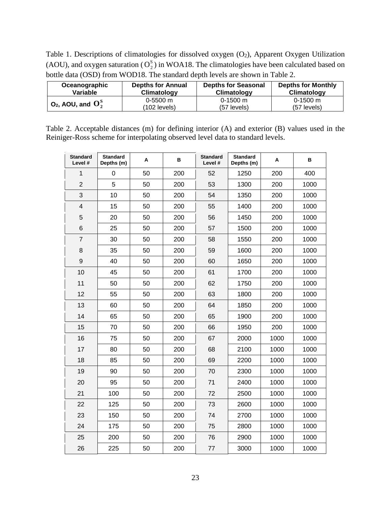Table 1. Descriptions of climatologies for dissolved oxygen (O<sub>2</sub>), Apparent Oxygen Utilization (AOU), and oxygen saturation ( $O_2^s$ ) in WOA18. The climatologies have been calculated based on bottle data (OSD) from WOD18. The standard depth levels are shown in Table 2.

| Oceanographic            | <b>Depths for Annual</b> | <b>Depths for Seasonal</b> | <b>Depths for Monthly</b> |
|--------------------------|--------------------------|----------------------------|---------------------------|
| Variable                 | Climatology              | Climatology                | Climatology               |
| $O_2$ , AOU, and $O_2^S$ | $0-5500$ m               | $0-1500$ m                 | $0-1500 \text{ m}$        |
|                          | (102 levels)             | $(57$ levels)              | $(57$ levels)             |

Table 2. Acceptable distances (m) for defining interior (A) and exterior (B) values used in the Reiniger-Ross scheme for interpolating observed level data to standard levels.

| <b>Standard</b><br>Level # | <b>Standard</b><br>Depths (m) | Α  | в   | <b>Standard</b><br>Level # | <b>Standard</b><br>Depths (m) | Α    | в    |
|----------------------------|-------------------------------|----|-----|----------------------------|-------------------------------|------|------|
| 1                          | 0                             | 50 | 200 | 52                         | 1250                          | 200  | 400  |
| $\overline{2}$             | 5                             | 50 | 200 | 53                         | 1300                          | 200  | 1000 |
| 3                          | 10                            | 50 | 200 | 54                         | 1350                          | 200  | 1000 |
| $\overline{\mathbf{4}}$    | 15                            | 50 | 200 | 55                         | 1400                          | 200  | 1000 |
| 5                          | 20                            | 50 | 200 | 56                         | 1450                          | 200  | 1000 |
| 6                          | 25                            | 50 | 200 | 57                         | 1500                          | 200  | 1000 |
| $\overline{7}$             | 30                            | 50 | 200 | 58                         | 1550                          | 200  | 1000 |
| 8                          | 35                            | 50 | 200 | 59                         | 1600                          | 200  | 1000 |
| 9                          | 40                            | 50 | 200 | 60                         | 1650                          | 200  | 1000 |
| 10                         | 45                            | 50 | 200 | 61                         | 1700                          | 200  | 1000 |
| 11                         | 50                            | 50 | 200 | 62                         | 1750                          | 200  | 1000 |
| 12                         | 55                            | 50 | 200 | 63                         | 1800                          | 200  | 1000 |
| 13                         | 60                            | 50 | 200 | 64                         | 1850                          | 200  | 1000 |
| 14                         | 65                            | 50 | 200 | 65                         | 1900                          | 200  | 1000 |
| 15                         | 70                            | 50 | 200 | 66                         | 1950                          | 200  | 1000 |
| 16                         | 75                            | 50 | 200 | 67                         | 2000                          | 1000 | 1000 |
| 17                         | 80                            | 50 | 200 | 68                         | 2100                          | 1000 | 1000 |
| 18                         | 85                            | 50 | 200 | 69                         | 2200                          | 1000 | 1000 |
| 19                         | 90                            | 50 | 200 | 70                         | 2300                          | 1000 | 1000 |
| 20                         | 95                            | 50 | 200 | 71                         | 2400                          | 1000 | 1000 |
| 21                         | 100                           | 50 | 200 | 72                         | 2500                          | 1000 | 1000 |
| 22                         | 125                           | 50 | 200 | 73                         | 2600                          | 1000 | 1000 |
| 23                         | 150                           | 50 | 200 | 74                         | 2700                          | 1000 | 1000 |
| 24                         | 175                           | 50 | 200 | 75                         | 2800                          | 1000 | 1000 |
| 25                         | 200                           | 50 | 200 | 76                         | 2900                          | 1000 | 1000 |
| 26                         | 225                           | 50 | 200 | 77                         | 3000                          | 1000 | 1000 |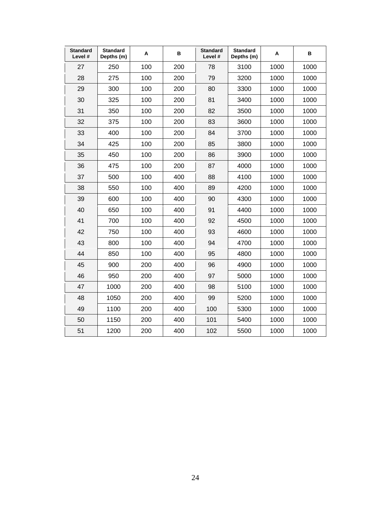| <b>Standard</b><br>Level # | <b>Standard</b><br>Depths (m) | Α   | в   | <b>Standard</b><br>Level # | <b>Standard</b><br>Depths (m) | Α    | в    |
|----------------------------|-------------------------------|-----|-----|----------------------------|-------------------------------|------|------|
| 27                         | 250                           | 100 | 200 | 78                         | 3100                          | 1000 | 1000 |
| 28                         | 275                           | 100 | 200 | 79                         | 3200                          | 1000 | 1000 |
| 29                         | 300                           | 100 | 200 | 80                         | 3300                          | 1000 | 1000 |
| 30                         | 325                           | 100 | 200 | 81                         | 3400                          | 1000 | 1000 |
| 31                         | 350                           | 100 | 200 | 82                         | 3500                          | 1000 | 1000 |
| 32                         | 375                           | 100 | 200 | 83                         | 3600                          | 1000 | 1000 |
| 33                         | 400                           | 100 | 200 | 84                         | 3700                          | 1000 | 1000 |
| 34                         | 425                           | 100 | 200 | 85                         | 3800                          | 1000 | 1000 |
| 35                         | 450                           | 100 | 200 | 86                         | 3900                          | 1000 | 1000 |
| 36                         | 475                           | 100 | 200 | 87                         | 4000                          | 1000 | 1000 |
| 37                         | 500                           | 100 | 400 | 88                         | 4100                          | 1000 | 1000 |
| 38                         | 550                           | 100 | 400 | 89                         | 4200                          | 1000 | 1000 |
| 39                         | 600                           | 100 | 400 | 90                         | 4300                          | 1000 | 1000 |
| 40                         | 650                           | 100 | 400 | 91                         | 4400                          | 1000 | 1000 |
| 41                         | 700                           | 100 | 400 | 92                         | 4500                          | 1000 | 1000 |
| 42                         | 750                           | 100 | 400 | 93                         | 4600                          | 1000 | 1000 |
| 43                         | 800                           | 100 | 400 | 94                         | 4700                          | 1000 | 1000 |
| 44                         | 850                           | 100 | 400 | 95                         | 4800                          | 1000 | 1000 |
| 45                         | 900                           | 200 | 400 | 96                         | 4900                          | 1000 | 1000 |
| 46                         | 950                           | 200 | 400 | 97                         | 5000                          | 1000 | 1000 |
| 47                         | 1000                          | 200 | 400 | 98                         | 5100                          | 1000 | 1000 |
| 48                         | 1050                          | 200 | 400 | 99                         | 5200                          | 1000 | 1000 |
| 49                         | 1100                          | 200 | 400 | 100                        | 5300                          | 1000 | 1000 |
| 50                         | 1150                          | 200 | 400 | 101                        | 5400                          | 1000 | 1000 |
| 51                         | 1200                          | 200 | 400 | 102                        | 5500                          | 1000 | 1000 |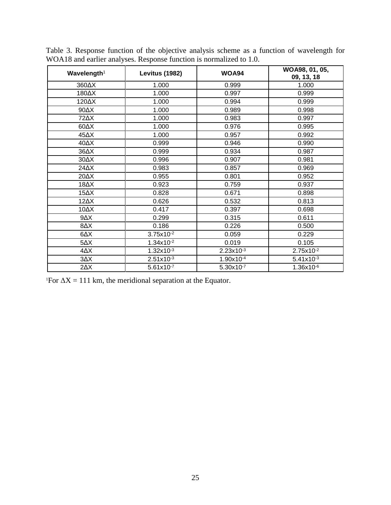| Wavelength <sup>1</sup> | <b>Levitus (1982)</b> |                | WOA98, 01, 05,<br>09, 13, 18 |
|-------------------------|-----------------------|----------------|------------------------------|
| 360AX                   | 1.000                 | 0.999          | 1.000                        |
| 180AX                   | 1.000                 | 0.997          | 0.999                        |
| 120AX                   | 1.000                 | 0.994          | 0.999                        |
| $90\Delta X$            | 1.000                 | 0.989          | 0.998                        |
| 72AX                    | 1.000                 | 0.983          | 0.997                        |
| $60\Delta X$            | 1.000                 | 0.976          | 0.995                        |
| 45 $\Delta$ X           | 1.000                 | 0.957          | 0.992                        |
| 40 $\Delta$ X           | 0.999                 | 0.946          | 0.990                        |
| 36 $\Delta$ X           | 0.999                 | 0.934          | 0.987                        |
| $30\Delta X$            | 0.996                 | 0.907          | 0.981                        |
| $24\Delta X$            | 0.983                 | 0.857          | 0.969                        |
| 20 $\Delta$ X           | 0.955                 | 0.801          | 0.952                        |
| 18 $\Delta$ X           | 0.923                 | 0.759          | 0.937                        |
| $15\Delta X$            | 0.828                 | 0.671          | 0.898                        |
| $12\Delta X$            | 0.626                 | 0.532          | 0.813                        |
| 10 $\Delta$ X           | 0.417                 | 0.397          | 0.698                        |
| $9\Delta X$             | 0.299                 | 0.315          | 0.611                        |
| $8\Delta X$             | 0.186                 | 0.226          | 0.500                        |
| $\Delta\Delta$          | $3.75x10^{-2}$        | 0.059          | 0.229                        |
| $5\Delta X$             | $1.34x10^{-2}$        | 0.019          | 0.105                        |
| $4\Delta X$             | $1.32x10^{-3}$        | $2.23x10^{-3}$ | $2.75x10^{-2}$               |
| $3\Delta X$             | $2.51x10^{-3}$        | 1.90x10-4      | $5.41x10^{-3}$               |
| $2\Delta X$             | $5.61x10^{-7}$        | $5.30x10^{-7}$ | $1.36x10^{-6}$               |

Table 3. Response function of the objective analysis scheme as a function of wavelength for WOA18 and earlier analyses. Response function is normalized to 1.0.

<sup>1</sup>For  $\Delta X = 111$  km, the meridional separation at the Equator.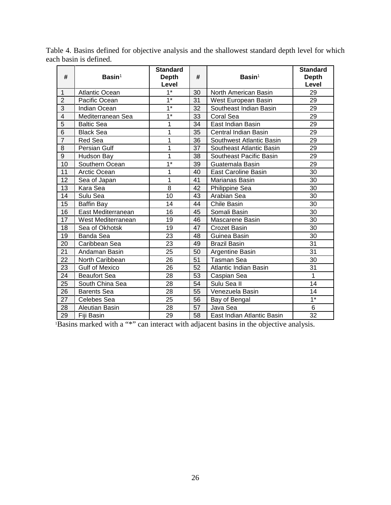| #                       | $Basin1$              | <b>Standard</b><br><b>Depth</b><br>Level | #  | $Basin1$                   | <b>Standard</b><br><b>Depth</b><br>Level |
|-------------------------|-----------------------|------------------------------------------|----|----------------------------|------------------------------------------|
| 1                       | <b>Atlantic Ocean</b> | $1^*$                                    | 30 | North American Basin       | 29                                       |
| $\overline{2}$          | Pacific Ocean         | $1*$                                     | 31 | West European Basin        | 29                                       |
| $\overline{3}$          | Indian Ocean          | $\overline{1^*}$                         | 32 | Southeast Indian Basin     | 29                                       |
| $\overline{\mathbf{4}}$ | Mediterranean Sea     | $1^*$                                    | 33 | Coral Sea                  | 29                                       |
| $\overline{5}$          | <b>Baltic Sea</b>     | 1                                        | 34 | East Indian Basin          | 29                                       |
| $\overline{6}$          | <b>Black Sea</b>      | 1                                        | 35 | Central Indian Basin       | 29                                       |
| $\overline{7}$          | Red Sea               | 1                                        | 36 | Southwest Atlantic Basin   | 29                                       |
| 8                       | Persian Gulf          | 1                                        | 37 | Southeast Atlantic Basin   | 29                                       |
| $\overline{9}$          | Hudson Bay            | 1                                        | 38 | Southeast Pacific Basin    | 29                                       |
| 10                      | Southern Ocean        | $1^*$                                    | 39 | Guatemala Basin            | 29                                       |
| 11                      | Arctic Ocean          | 1                                        | 40 | <b>East Caroline Basin</b> | 30                                       |
| 12                      | Sea of Japan          | 1                                        | 41 | Marianas Basin             | 30                                       |
| 13                      | Kara Sea              | 8                                        | 42 | Philippine Sea             | 30                                       |
| 14                      | Sulu Sea              | 10                                       | 43 | Arabian Sea                | 30                                       |
| 15                      | Baffin Bay            | 14                                       | 44 | <b>Chile Basin</b>         | 30                                       |
| 16                      | East Mediterranean    | 16                                       | 45 | Somali Basin               | 30                                       |
| 17                      | West Mediterranean    | 19                                       | 46 | Mascarene Basin            | 30                                       |
| 18                      | Sea of Okhotsk        | 19                                       | 47 | <b>Crozet Basin</b>        | 30                                       |
| 19                      | Banda Sea             | 23                                       | 48 | Guinea Basin               | 30                                       |
| 20                      | Caribbean Sea         | 23                                       | 49 | <b>Brazil Basin</b>        | 31                                       |
| 21                      | Andaman Basin         | 25                                       | 50 | Argentine Basin            | 31                                       |
| 22                      | North Caribbean       | 26                                       | 51 | <b>Tasman Sea</b>          | 30                                       |
| 23                      | <b>Gulf of Mexico</b> | 26                                       | 52 | Atlantic Indian Basin      | 31                                       |
| 24                      | <b>Beaufort Sea</b>   | 28                                       | 53 | Caspian Sea                | $\mathbf 1$                              |
| 25                      | South China Sea       | 28                                       | 54 | Sulu Sea II                | 14                                       |
| 26                      | <b>Barents Sea</b>    | 28                                       | 55 | Venezuela Basin            | 14                                       |
| 27                      | Celebes Sea           | $\overline{25}$                          | 56 | Bay of Bengal              | $1^*$                                    |
| 28                      | Aleutian Basin        | 28                                       | 57 | Java Sea                   | 6                                        |
| 29                      | Fiji Basin            | 29                                       | 58 | East Indian Atlantic Basin | 32                                       |

Table 4. Basins defined for objective analysis and the shallowest standard depth level for which each basin is defined.

Basins marked with a "\*" can interact with adjacent basins in the objective analysis.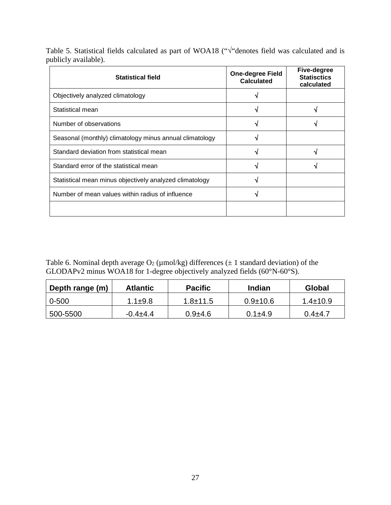Table 5. Statistical fields calculated as part of WOA18 ("√"denotes field was calculated and is publicly available).

| <b>Statistical field</b>                                | <b>One-degree Field</b><br><b>Calculated</b> | Five-degree<br><b>Statisctics</b><br>calculated |
|---------------------------------------------------------|----------------------------------------------|-------------------------------------------------|
| Objectively analyzed climatology                        |                                              |                                                 |
| Statistical mean                                        |                                              |                                                 |
| Number of observations                                  |                                              |                                                 |
| Seasonal (monthly) climatology minus annual climatology |                                              |                                                 |
| Standard deviation from statistical mean                |                                              |                                                 |
| Standard error of the statistical mean                  |                                              |                                                 |
| Statistical mean minus objectively analyzed climatology |                                              |                                                 |
| Number of mean values within radius of influence        |                                              |                                                 |
|                                                         |                                              |                                                 |

Table 6. Nominal depth average  $O_2$  (µmol/kg) differences ( $\pm 1$  standard deviation) of the GLODAPv2 minus WOA18 for 1-degree objectively analyzed fields (60°N-60°S).

| Depth range (m) | <b>Atlantic</b> | <b>Pacific</b> | Indian       | Global         |
|-----------------|-----------------|----------------|--------------|----------------|
| $0 - 500$       | $1.1 \pm 9.8$   | $1.8 + 11.5$   | $0.9 + 10.6$ | $1.4 \pm 10.9$ |
| 500-5500        | $-0.4+4.4$      | $0.9 + 4.6$    | $0.1 + 4.9$  | $0.4 + 4.7$    |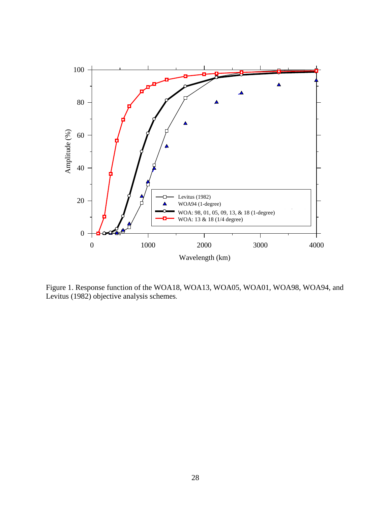

Figure 1. Response function of the WOA18, WOA13, WOA05, WOA01, WOA98, WOA94, and Levitus (1982) objective analysis schemes.